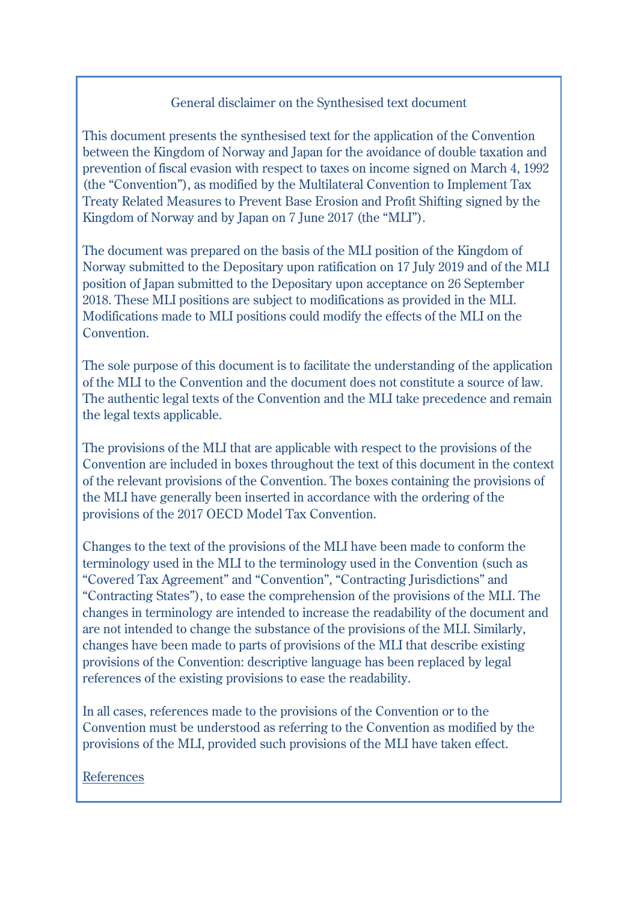#### General disclaimer on the Synthesised text document

This document presents the synthesised text for the application of the Convention between the Kingdom of Norway and Japan for the avoidance of double taxation and prevention of fiscal evasion with respect to taxes on income signed on March 4, 1992 (the "Convention"), as modified by the Multilateral Convention to Implement Tax Treaty Related Measures to Prevent Base Erosion and Profit Shifting signed by the Kingdom of Norway and by Japan on 7 June 2017 (the "MLI").

The document was prepared on the basis of the MLI position of the Kingdom of Norway submitted to the Depositary upon ratification on 17 July 2019 and of the MLI position of Japan submitted to the Depositary upon acceptance on 26 September 2018. These MLI positions are subject to modifications as provided in the MLI. Modifications made to MLI positions could modify the effects of the MLI on the Convention.

The sole purpose of this document is to facilitate the understanding of the application of the MLI to the Convention and the document does not constitute a source of law. The authentic legal texts of the Convention and the MLI take precedence and remain the legal texts applicable.

The provisions of the MLI that are applicable with respect to the provisions of the Convention are included in boxes throughout the text of this document in the context of the relevant provisions of the Convention. The boxes containing the provisions of the MLI have generally been inserted in accordance with the ordering of the provisions of the 2017 OECD Model Tax Convention.

Changes to the text of the provisions of the MLI have been made to conform the terminology used in the MLI to the terminology used in the Convention (such as "Covered Tax Agreement" and "Convention", "Contracting Jurisdictions" and "Contracting States"), to ease the comprehension of the provisions of the MLI. The changes in terminology are intended to increase the readability of the document and are not intended to change the substance of the provisions of the MLI. Similarly, changes have been made to parts of provisions of the MLI that describe existing provisions of the Convention: descriptive language has been replaced by legal references of the existing provisions to ease the readability.

In all cases, references made to the provisions of the Convention or to the Convention must be understood as referring to the Convention as modified by the provisions of the MLI, provided such provisions of the MLI have taken effect.

References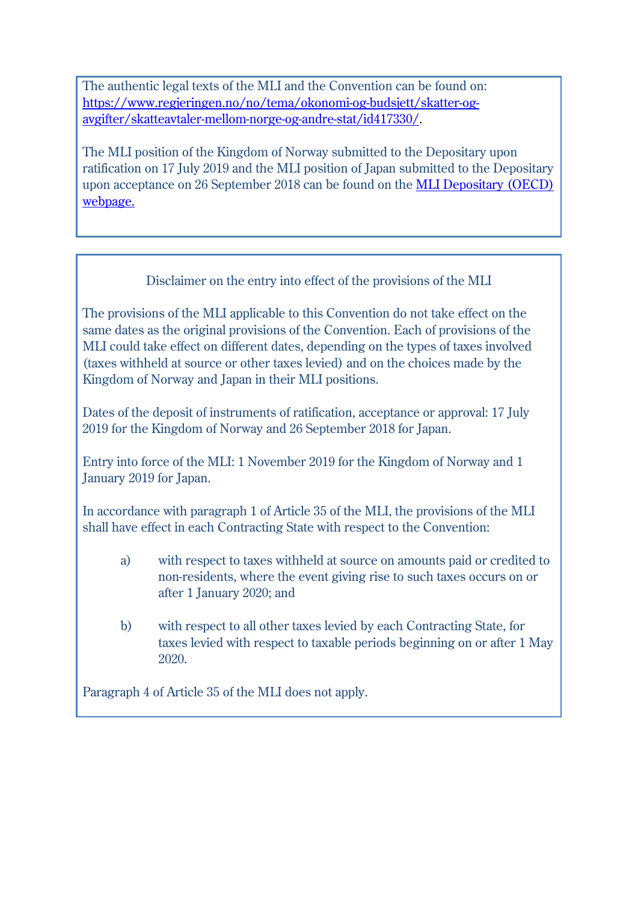The authentic legal texts of the MLI and the Convention can be found on: [https://www.regjeringen.no/no/tema/okonomi-og-budsjett/skatter-og](https://www.regjeringen.no/no/tema/okonomi-og-budsjett/skatter-og-avgifter/skatteavtaler-mellom-norge-og-andre-stat/id417330/)[avgifter/skatteavtaler-mellom-norge-og-andre-stat/id417330/.](https://www.regjeringen.no/no/tema/okonomi-og-budsjett/skatter-og-avgifter/skatteavtaler-mellom-norge-og-andre-stat/id417330/)

The MLI position of the Kingdom of Norway submitted to the Depositary upon ratification on 17 July 2019 and the MLI position of Japan submitted to the Depositary upon acceptance on 26 September 2018 can be found on the [MLI Depositary \(OECD\)](http://www.oecd.org/tax/beps/beps-mli-signatories-and-parties.pdf)  [webpage.](http://www.oecd.org/tax/beps/beps-mli-signatories-and-parties.pdf)

## Disclaimer on the entry into effect of the provisions of the MLI

The provisions of the MLI applicable to this Convention do not take effect on the same dates as the original provisions of the Convention. Each of provisions of the MLI could take effect on different dates, depending on the types of taxes involved (taxes withheld at source or other taxes levied) and on the choices made by the Kingdom of Norway and Japan in their MLI positions.

Dates of the deposit of instruments of ratification, acceptance or approval: 17 July 2019 for the Kingdom of Norway and 26 September 2018 for Japan.

Entry into force of the MLI: 1 November 2019 for the Kingdom of Norway and 1 January 2019 for Japan.

In accordance with paragraph 1 of Article 35 of the MLI, the provisions of the MLI shall have effect in each Contracting State with respect to the Convention:

- a) with respect to taxes withheld at source on amounts paid or credited to non-residents, where the event giving rise to such taxes occurs on or after 1 January 2020; and
- b) with respect to all other taxes levied by each Contracting State, for taxes levied with respect to taxable periods beginning on or after 1 May 2020.

Paragraph 4 of Article 35 of the MLI does not apply.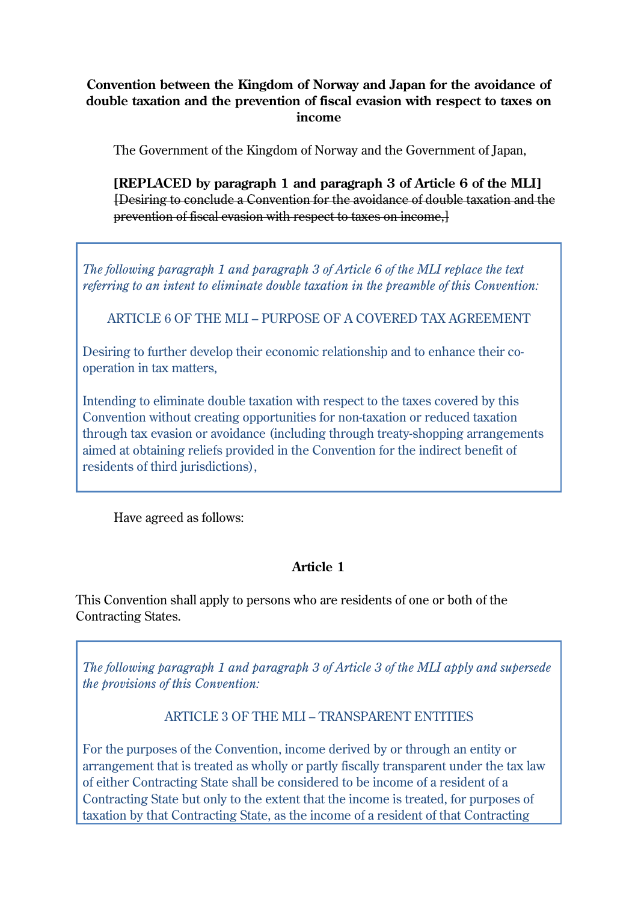#### **Convention between the Kingdom of Norway and Japan for the avoidance of double taxation and the prevention of fiscal evasion with respect to taxes on income**

The Government of the Kingdom of Norway and the Government of Japan,

**[REPLACED by paragraph 1 and paragraph 3 of Article 6 of the MLI]**  [Desiring to conclude a Convention for the avoidance of double taxation and the prevention of fiscal evasion with respect to taxes on income,]

*The following paragraph 1 and paragraph 3 of Article 6 of the MLI replace the text referring to an intent to eliminate double taxation in the preamble of this Convention:*

ARTICLE 6 OF THE MLI – PURPOSE OF A COVERED TAX AGREEMENT

Desiring to further develop their economic relationship and to enhance their cooperation in tax matters,

Intending to eliminate double taxation with respect to the taxes covered by this Convention without creating opportunities for non-taxation or reduced taxation through tax evasion or avoidance (including through treaty-shopping arrangements aimed at obtaining reliefs provided in the Convention for the indirect benefit of residents of third jurisdictions),

Have agreed as follows:

#### **Article 1**

This Convention shall apply to persons who are residents of one or both of the Contracting States.

*The following paragraph 1 and paragraph 3 of Article 3 of the MLI apply and supersede the provisions of this Convention:*

ARTICLE 3 OF THE MLI – TRANSPARENT ENTITIES

For the purposes of the Convention, income derived by or through an entity or arrangement that is treated as wholly or partly fiscally transparent under the tax law of either Contracting State shall be considered to be income of a resident of a Contracting State but only to the extent that the income is treated, for purposes of taxation by that Contracting State, as the income of a resident of that Contracting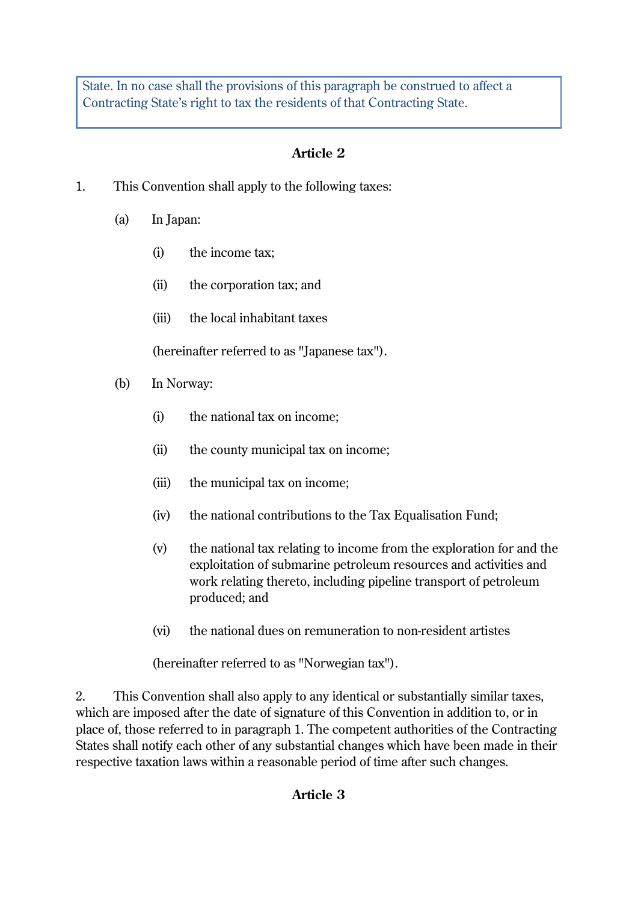State. In no case shall the provisions of this paragraph be construed to affect a Contracting State's right to tax the residents of that Contracting State.

### **Article 2**

- 1. This Convention shall apply to the following taxes:
	- (a) In Japan:
		- (i) the income tax;
		- (ii) the corporation tax; and
		- (iii) the local inhabitant taxes

(hereinafter referred to as "Japanese tax").

- (b) In Norway:
	- (i) the national tax on income;
	- (ii) the county municipal tax on income;
	- (iii) the municipal tax on income;
	- (iv) the national contributions to the Tax Equalisation Fund;
	- (v) the national tax relating to income from the exploration for and the exploitation of submarine petroleum resources and activities and work relating thereto, including pipeline transport of petroleum produced; and
	- (vi) the national dues on remuneration to non-resident artistes

(hereinafter referred to as "Norwegian tax").

2. This Convention shall also apply to any identical or substantially similar taxes, which are imposed after the date of signature of this Convention in addition to, or in place of, those referred to in paragraph 1. The competent authorities of the Contracting States shall notify each other of any substantial changes which have been made in their respective taxation laws within a reasonable period of time after such changes.

#### **Article 3**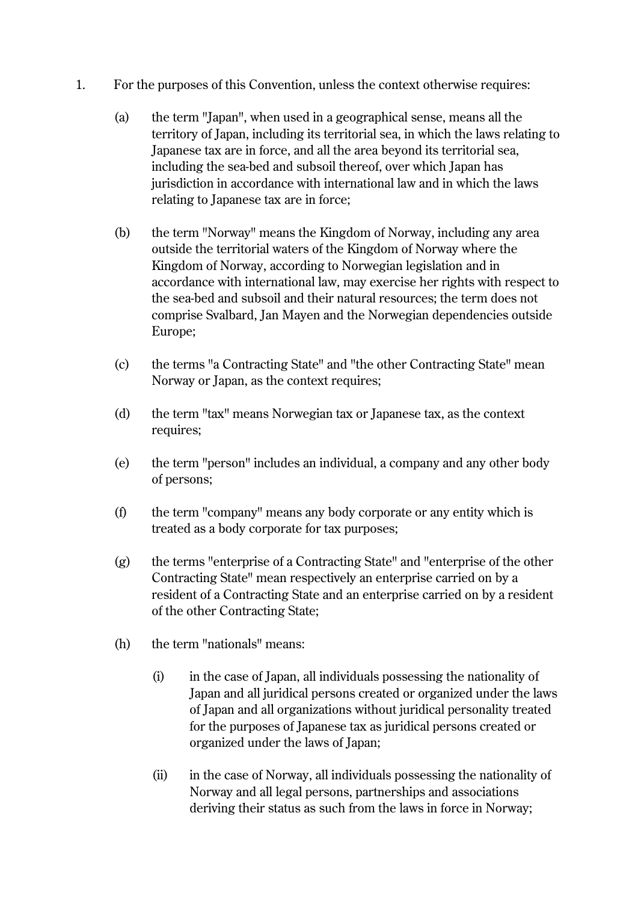- 1. For the purposes of this Convention, unless the context otherwise requires:
	- (a) the term "Japan", when used in a geographical sense, means all the territory of Japan, including its territorial sea, in which the laws relating to Japanese tax are in force, and all the area beyond its territorial sea, including the sea-bed and subsoil thereof, over which Japan has jurisdiction in accordance with international law and in which the laws relating to Japanese tax are in force;
	- (b) the term "Norway" means the Kingdom of Norway, including any area outside the territorial waters of the Kingdom of Norway where the Kingdom of Norway, according to Norwegian legislation and in accordance with international law, may exercise her rights with respect to the sea-bed and subsoil and their natural resources; the term does not comprise Svalbard, Jan Mayen and the Norwegian dependencies outside Europe;
	- (c) the terms "a Contracting State" and "the other Contracting State" mean Norway or Japan, as the context requires;
	- (d) the term "tax" means Norwegian tax or Japanese tax, as the context requires;
	- (e) the term "person" includes an individual, a company and any other body of persons;
	- (f) the term "company" means any body corporate or any entity which is treated as a body corporate for tax purposes;
	- (g) the terms "enterprise of a Contracting State" and "enterprise of the other Contracting State" mean respectively an enterprise carried on by a resident of a Contracting State and an enterprise carried on by a resident of the other Contracting State;
	- (h) the term "nationals" means:
		- (i) in the case of Japan, all individuals possessing the nationality of Japan and all juridical persons created or organized under the laws of Japan and all organizations without juridical personality treated for the purposes of Japanese tax as juridical persons created or organized under the laws of Japan;
		- (ii) in the case of Norway, all individuals possessing the nationality of Norway and all legal persons, partnerships and associations deriving their status as such from the laws in force in Norway;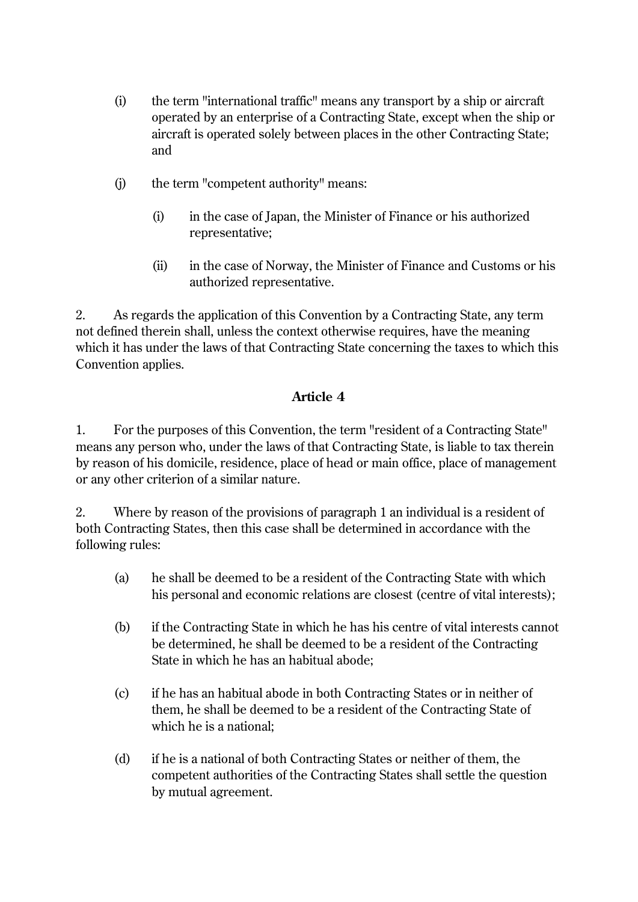- (i) the term "international traffic" means any transport by a ship or aircraft operated by an enterprise of a Contracting State, except when the ship or aircraft is operated solely between places in the other Contracting State; and
- (j) the term "competent authority" means:
	- (i) in the case of Japan, the Minister of Finance or his authorized representative;
	- (ii) in the case of Norway, the Minister of Finance and Customs or his authorized representative.

2. As regards the application of this Convention by a Contracting State, any term not defined therein shall, unless the context otherwise requires, have the meaning which it has under the laws of that Contracting State concerning the taxes to which this Convention applies.

#### **Article 4**

1. For the purposes of this Convention, the term "resident of a Contracting State" means any person who, under the laws of that Contracting State, is liable to tax therein by reason of his domicile, residence, place of head or main office, place of management or any other criterion of a similar nature.

2. Where by reason of the provisions of paragraph 1 an individual is a resident of both Contracting States, then this case shall be determined in accordance with the following rules:

- (a) he shall be deemed to be a resident of the Contracting State with which his personal and economic relations are closest (centre of vital interests);
- (b) if the Contracting State in which he has his centre of vital interests cannot be determined, he shall be deemed to be a resident of the Contracting State in which he has an habitual abode;
- (c) if he has an habitual abode in both Contracting States or in neither of them, he shall be deemed to be a resident of the Contracting State of which he is a national;
- (d) if he is a national of both Contracting States or neither of them, the competent authorities of the Contracting States shall settle the question by mutual agreement.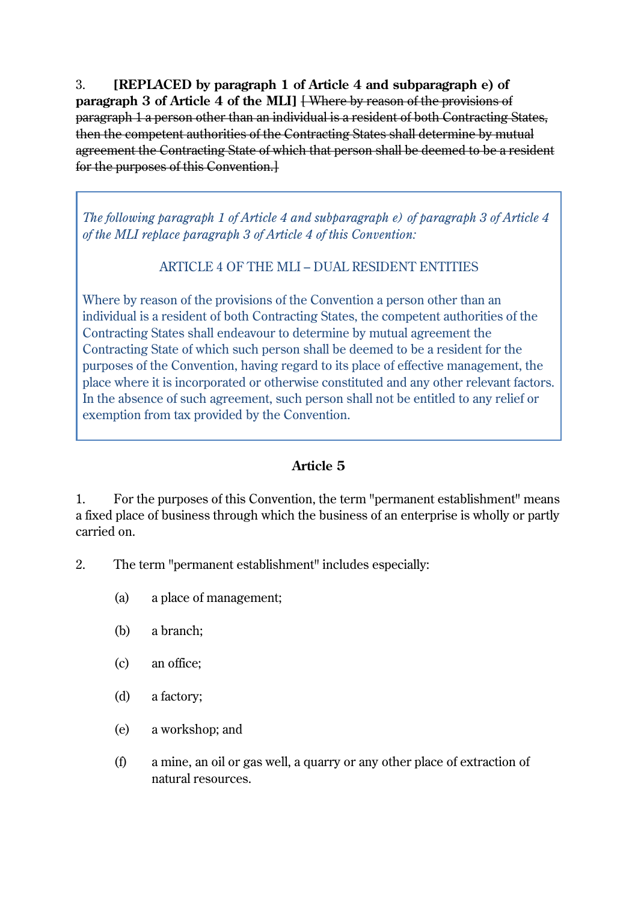3. **[REPLACED by paragraph 1 of Article 4 and subparagraph e) of paragraph 3 of Article 4 of the MLI]** [Where by reason of the provisions of paragraph 1 a person other than an individual is a resident of both Contracting States, then the competent authorities of the Contracting States shall determine by mutual agreement the Contracting State of which that person shall be deemed to be a resident for the purposes of this Convention.]

*The following paragraph 1 of Article 4 and subparagraph e) of paragraph 3 of Article 4 of the MLI replace paragraph 3 of Article 4 of this Convention:*

ARTICLE 4 OF THE MLI – DUAL RESIDENT ENTITIES

Where by reason of the provisions of the Convention a person other than an individual is a resident of both Contracting States, the competent authorities of the Contracting States shall endeavour to determine by mutual agreement the Contracting State of which such person shall be deemed to be a resident for the purposes of the Convention, having regard to its place of effective management, the place where it is incorporated or otherwise constituted and any other relevant factors. In the absence of such agreement, such person shall not be entitled to any relief or exemption from tax provided by the Convention.

## **Article 5**

1. For the purposes of this Convention, the term "permanent establishment" means a fixed place of business through which the business of an enterprise is wholly or partly carried on.

2. The term "permanent establishment" includes especially:

- (a) a place of management;
- (b) a branch;
- (c) an office;
- (d) a factory;
- (e) a workshop; and
- (f) a mine, an oil or gas well, a quarry or any other place of extraction of natural resources.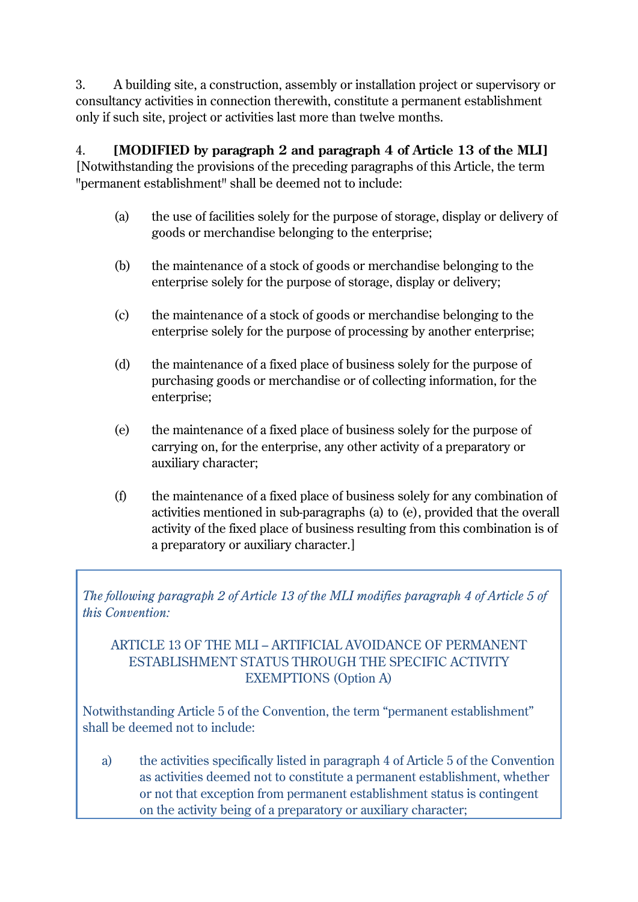3. A building site, a construction, assembly or installation project or supervisory or consultancy activities in connection therewith, constitute a permanent establishment only if such site, project or activities last more than twelve months.

4. **[MODIFIED by paragraph 2 and paragraph 4 of Article 13 of the MLI]**  [Notwithstanding the provisions of the preceding paragraphs of this Article, the term "permanent establishment" shall be deemed not to include:

- (a) the use of facilities solely for the purpose of storage, display or delivery of goods or merchandise belonging to the enterprise;
- (b) the maintenance of a stock of goods or merchandise belonging to the enterprise solely for the purpose of storage, display or delivery;
- (c) the maintenance of a stock of goods or merchandise belonging to the enterprise solely for the purpose of processing by another enterprise;
- (d) the maintenance of a fixed place of business solely for the purpose of purchasing goods or merchandise or of collecting information, for the enterprise;
- (e) the maintenance of a fixed place of business solely for the purpose of carrying on, for the enterprise, any other activity of a preparatory or auxiliary character;
- (f) the maintenance of a fixed place of business solely for any combination of activities mentioned in sub-paragraphs (a) to (e), provided that the overall activity of the fixed place of business resulting from this combination is of a preparatory or auxiliary character.]

*The following paragraph 2 of Article 13 of the MLI modifies paragraph 4 of Article 5 of this Convention:*

## ARTICLE 13 OF THE MLI – ARTIFICIAL AVOIDANCE OF PERMANENT ESTABLISHMENT STATUS THROUGH THE SPECIFIC ACTIVITY EXEMPTIONS (Option A)

Notwithstanding Article 5 of the Convention, the term "permanent establishment" shall be deemed not to include:

a) the activities specifically listed in paragraph 4 of Article 5 of the Convention as activities deemed not to constitute a permanent establishment, whether or not that exception from permanent establishment status is contingent on the activity being of a preparatory or auxiliary character;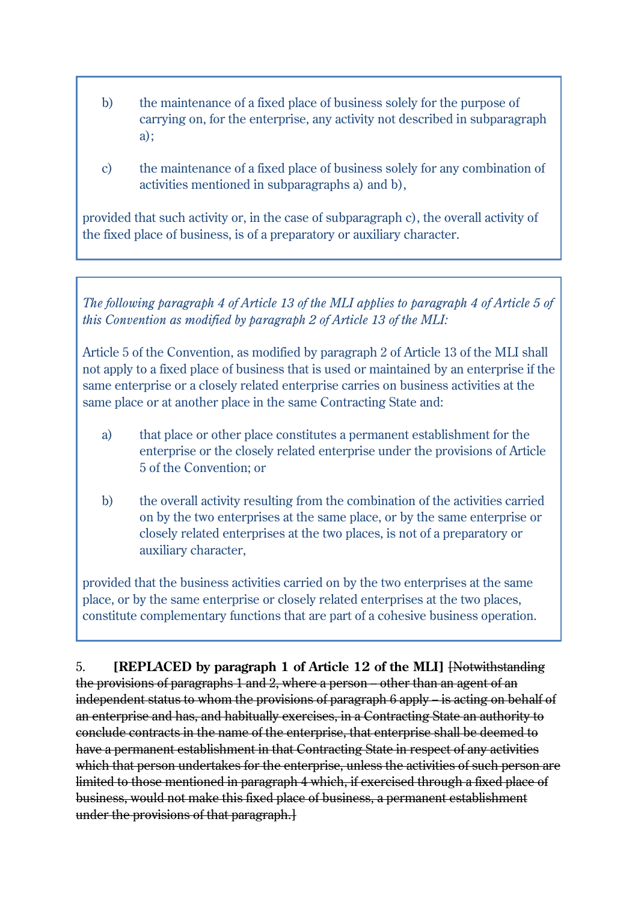- b) the maintenance of a fixed place of business solely for the purpose of carrying on, for the enterprise, any activity not described in subparagraph a);
- c) the maintenance of a fixed place of business solely for any combination of activities mentioned in subparagraphs a) and b),

provided that such activity or, in the case of subparagraph c), the overall activity of the fixed place of business, is of a preparatory or auxiliary character.

*The following paragraph 4 of Article 13 of the MLI applies to paragraph 4 of Article 5 of this Convention as modified by paragraph 2 of Article 13 of the MLI:*

Article 5 of the Convention, as modified by paragraph 2 of Article 13 of the MLI shall not apply to a fixed place of business that is used or maintained by an enterprise if the same enterprise or a closely related enterprise carries on business activities at the same place or at another place in the same Contracting State and:

- a) that place or other place constitutes a permanent establishment for the enterprise or the closely related enterprise under the provisions of Article 5 of the Convention; or
- b) the overall activity resulting from the combination of the activities carried on by the two enterprises at the same place, or by the same enterprise or closely related enterprises at the two places, is not of a preparatory or auxiliary character,

provided that the business activities carried on by the two enterprises at the same place, or by the same enterprise or closely related enterprises at the two places, constitute complementary functions that are part of a cohesive business operation.

5. **[REPLACED by paragraph 1 of Article 12 of the MLI]** [Notwithstanding the provisions of paragraphs 1 and 2, where a person – other than an agent of an independent status to whom the provisions of paragraph 6 apply – is acting on behalf of an enterprise and has, and habitually exercises, in a Contracting State an authority to conclude contracts in the name of the enterprise, that enterprise shall be deemed to have a permanent establishment in that Contracting State in respect of any activities which that person undertakes for the enterprise, unless the activities of such person are limited to those mentioned in paragraph 4 which, if exercised through a fixed place of business, would not make this fixed place of business, a permanent establishment under the provisions of that paragraph.]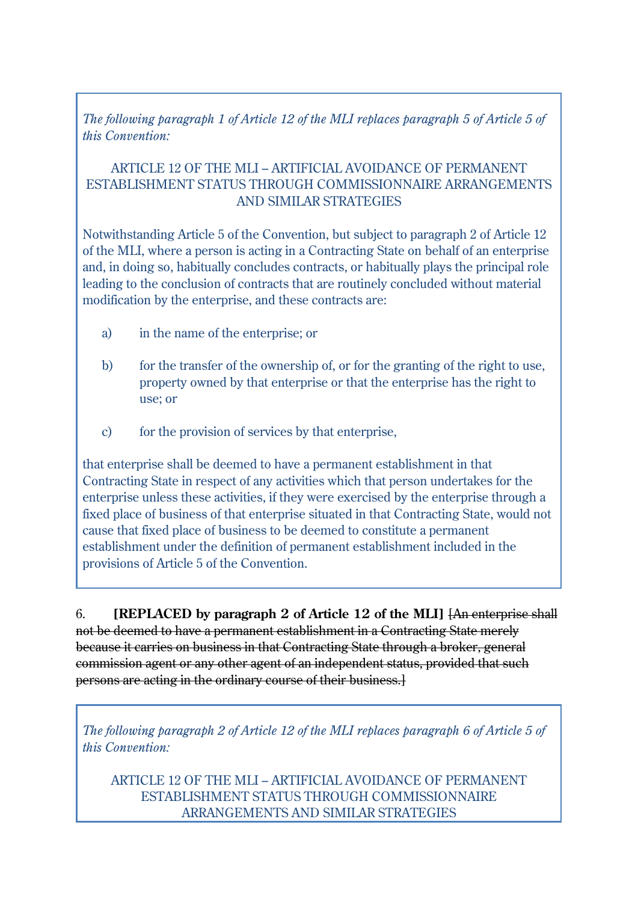*The following paragraph 1 of Article 12 of the MLI replaces paragraph 5 of Article 5 of this Convention:*

#### ARTICLE 12 OF THE MLI – ARTIFICIAL AVOIDANCE OF PERMANENT ESTABLISHMENT STATUS THROUGH COMMISSIONNAIRE ARRANGEMENTS AND SIMILAR STRATEGIES

Notwithstanding Article 5 of the Convention, but subject to paragraph 2 of Article 12 of the MLI, where a person is acting in a Contracting State on behalf of an enterprise and, in doing so, habitually concludes contracts, or habitually plays the principal role leading to the conclusion of contracts that are routinely concluded without material modification by the enterprise, and these contracts are:

- a) in the name of the enterprise; or
- b) for the transfer of the ownership of, or for the granting of the right to use, property owned by that enterprise or that the enterprise has the right to use; or
- c) for the provision of services by that enterprise,

that enterprise shall be deemed to have a permanent establishment in that Contracting State in respect of any activities which that person undertakes for the enterprise unless these activities, if they were exercised by the enterprise through a fixed place of business of that enterprise situated in that Contracting State, would not cause that fixed place of business to be deemed to constitute a permanent establishment under the definition of permanent establishment included in the provisions of Article 5 of the Convention.

6. **[REPLACED by paragraph 2 of Article 12 of the MLI]** [An enterprise shall not be deemed to have a permanent establishment in a Contracting State merely because it carries on business in that Contracting State through a broker, general commission agent or any other agent of an independent status, provided that such persons are acting in the ordinary course of their business.]

*The following paragraph 2 of Article 12 of the MLI replaces paragraph 6 of Article 5 of this Convention:*

ARTICLE 12 OF THE MLI – ARTIFICIAL AVOIDANCE OF PERMANENT ESTABLISHMENT STATUS THROUGH COMMISSIONNAIRE ARRANGEMENTS AND SIMILAR STRATEGIES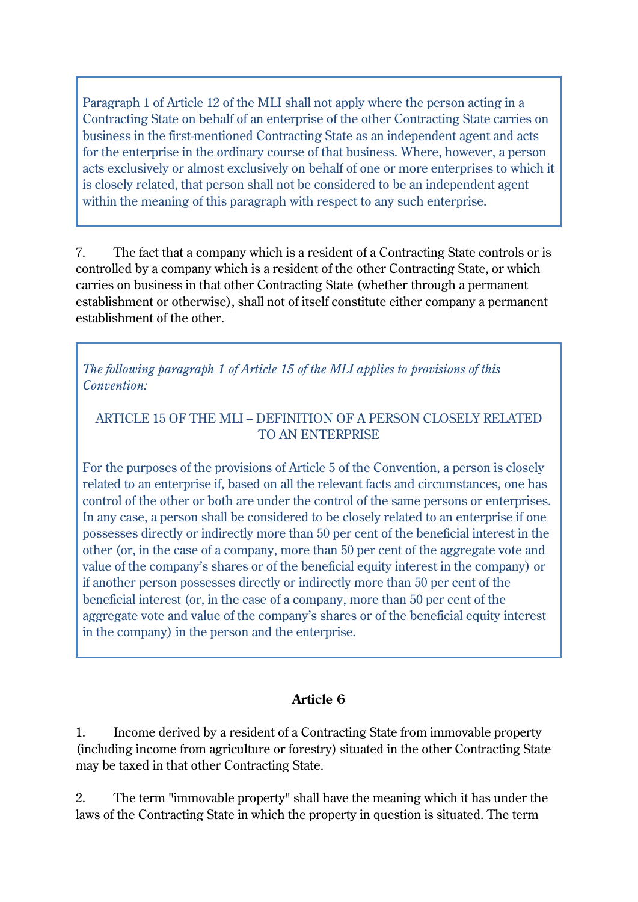Paragraph 1 of Article 12 of the MLI shall not apply where the person acting in a Contracting State on behalf of an enterprise of the other Contracting State carries on business in the first-mentioned Contracting State as an independent agent and acts for the enterprise in the ordinary course of that business. Where, however, a person acts exclusively or almost exclusively on behalf of one or more enterprises to which it is closely related, that person shall not be considered to be an independent agent within the meaning of this paragraph with respect to any such enterprise.

7. The fact that a company which is a resident of a Contracting State controls or is controlled by a company which is a resident of the other Contracting State, or which carries on business in that other Contracting State (whether through a permanent establishment or otherwise), shall not of itself constitute either company a permanent establishment of the other.

*The following paragraph 1 of Article 15 of the MLI applies to provisions of this Convention:*

### ARTICLE 15 OF THE MLI – DEFINITION OF A PERSON CLOSELY RELATED TO AN ENTERPRISE

For the purposes of the provisions of Article 5 of the Convention, a person is closely related to an enterprise if, based on all the relevant facts and circumstances, one has control of the other or both are under the control of the same persons or enterprises. In any case, a person shall be considered to be closely related to an enterprise if one possesses directly or indirectly more than 50 per cent of the beneficial interest in the other (or, in the case of a company, more than 50 per cent of the aggregate vote and value of the company's shares or of the beneficial equity interest in the company) or if another person possesses directly or indirectly more than 50 per cent of the beneficial interest (or, in the case of a company, more than 50 per cent of the aggregate vote and value of the company's shares or of the beneficial equity interest in the company) in the person and the enterprise.

### **Article 6**

1. Income derived by a resident of a Contracting State from immovable property (including income from agriculture or forestry) situated in the other Contracting State may be taxed in that other Contracting State.

2. The term "immovable property" shall have the meaning which it has under the laws of the Contracting State in which the property in question is situated. The term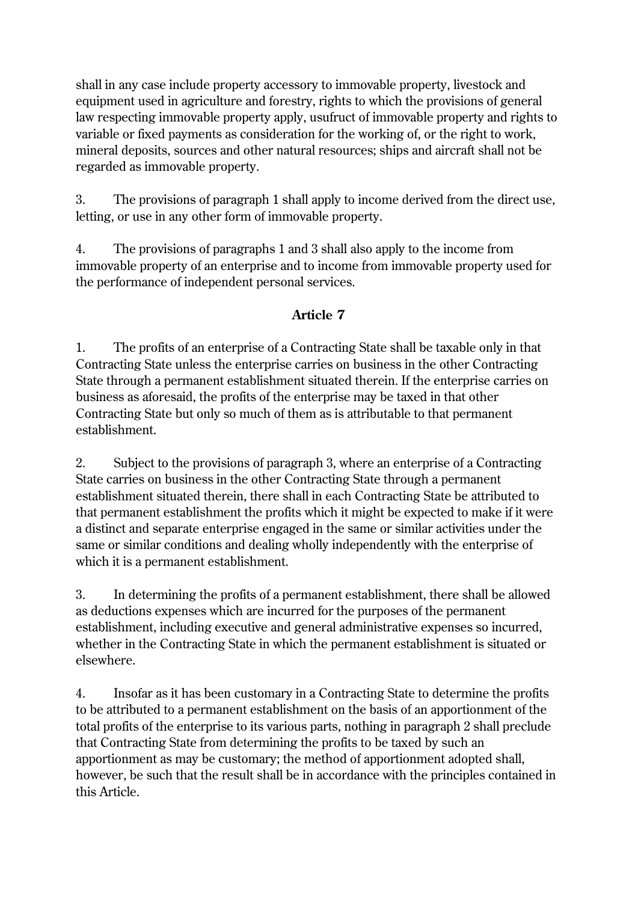shall in any case include property accessory to immovable property, livestock and equipment used in agriculture and forestry, rights to which the provisions of general law respecting immovable property apply, usufruct of immovable property and rights to variable or fixed payments as consideration for the working of, or the right to work, mineral deposits, sources and other natural resources; ships and aircraft shall not be regarded as immovable property.

3. The provisions of paragraph 1 shall apply to income derived from the direct use, letting, or use in any other form of immovable property.

4. The provisions of paragraphs 1 and 3 shall also apply to the income from immovable property of an enterprise and to income from immovable property used for the performance of independent personal services.

## **Article 7**

1. The profits of an enterprise of a Contracting State shall be taxable only in that Contracting State unless the enterprise carries on business in the other Contracting State through a permanent establishment situated therein. If the enterprise carries on business as aforesaid, the profits of the enterprise may be taxed in that other Contracting State but only so much of them as is attributable to that permanent establishment.

2. Subject to the provisions of paragraph 3, where an enterprise of a Contracting State carries on business in the other Contracting State through a permanent establishment situated therein, there shall in each Contracting State be attributed to that permanent establishment the profits which it might be expected to make if it were a distinct and separate enterprise engaged in the same or similar activities under the same or similar conditions and dealing wholly independently with the enterprise of which it is a permanent establishment.

3. In determining the profits of a permanent establishment, there shall be allowed as deductions expenses which are incurred for the purposes of the permanent establishment, including executive and general administrative expenses so incurred, whether in the Contracting State in which the permanent establishment is situated or elsewhere.

4. Insofar as it has been customary in a Contracting State to determine the profits to be attributed to a permanent establishment on the basis of an apportionment of the total profits of the enterprise to its various parts, nothing in paragraph 2 shall preclude that Contracting State from determining the profits to be taxed by such an apportionment as may be customary; the method of apportionment adopted shall, however, be such that the result shall be in accordance with the principles contained in this Article.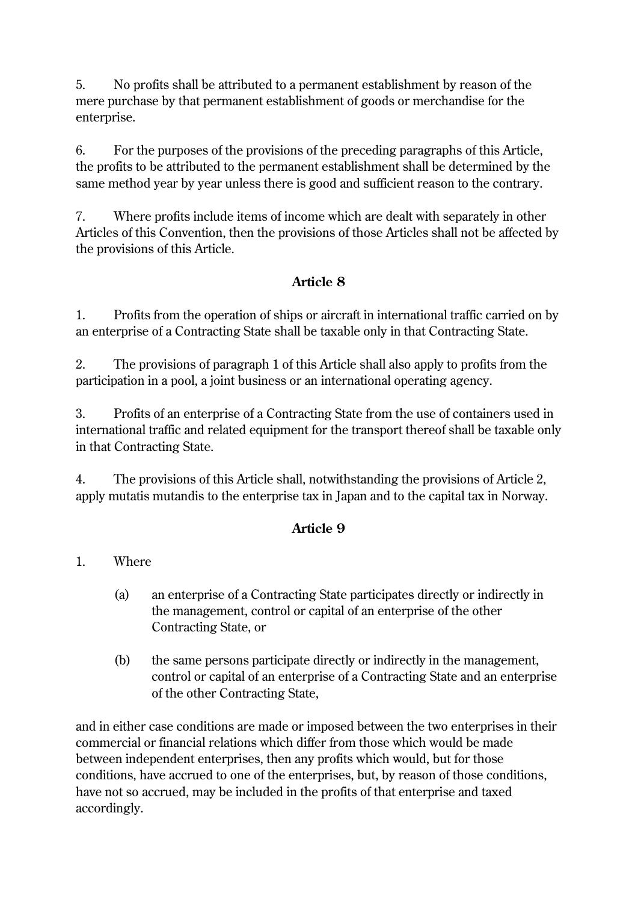5. No profits shall be attributed to a permanent establishment by reason of the mere purchase by that permanent establishment of goods or merchandise for the enterprise.

6. For the purposes of the provisions of the preceding paragraphs of this Article, the profits to be attributed to the permanent establishment shall be determined by the same method year by year unless there is good and sufficient reason to the contrary.

7. Where profits include items of income which are dealt with separately in other Articles of this Convention, then the provisions of those Articles shall not be affected by the provisions of this Article.

## **Article 8**

1. Profits from the operation of ships or aircraft in international traffic carried on by an enterprise of a Contracting State shall be taxable only in that Contracting State.

2. The provisions of paragraph 1 of this Article shall also apply to profits from the participation in a pool, a joint business or an international operating agency.

3. Profits of an enterprise of a Contracting State from the use of containers used in international traffic and related equipment for the transport thereof shall be taxable only in that Contracting State.

4. The provisions of this Article shall, notwithstanding the provisions of Article 2, apply mutatis mutandis to the enterprise tax in Japan and to the capital tax in Norway.

### **Article 9**

### 1. Where

- (a) an enterprise of a Contracting State participates directly or indirectly in the management, control or capital of an enterprise of the other Contracting State, or
- (b) the same persons participate directly or indirectly in the management, control or capital of an enterprise of a Contracting State and an enterprise of the other Contracting State,

and in either case conditions are made or imposed between the two enterprises in their commercial or financial relations which differ from those which would be made between independent enterprises, then any profits which would, but for those conditions, have accrued to one of the enterprises, but, by reason of those conditions, have not so accrued, may be included in the profits of that enterprise and taxed accordingly.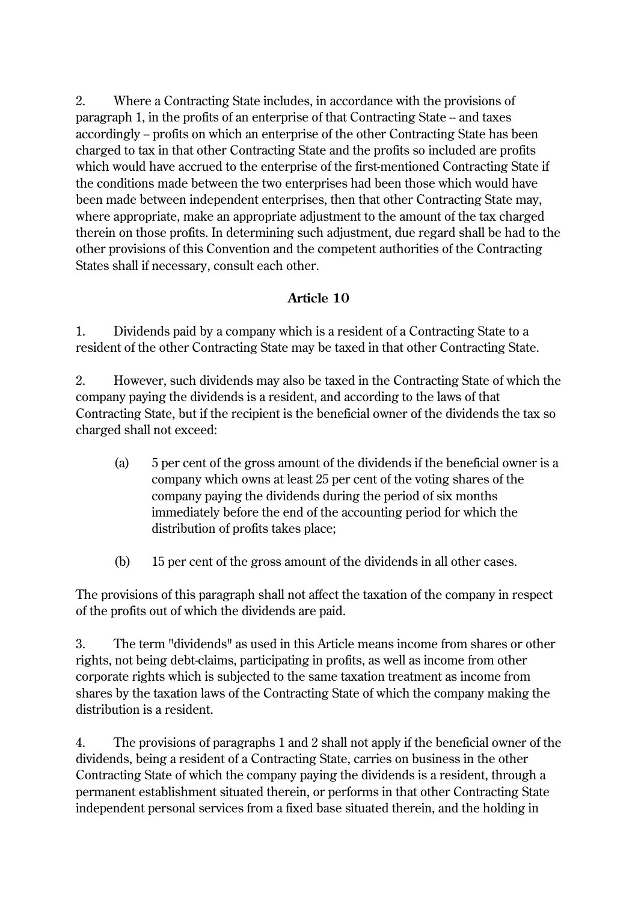2. Where a Contracting State includes, in accordance with the provisions of paragraph 1, in the profits of an enterprise of that Contracting State – and taxes accordingly – profits on which an enterprise of the other Contracting State has been charged to tax in that other Contracting State and the profits so included are profits which would have accrued to the enterprise of the first-mentioned Contracting State if the conditions made between the two enterprises had been those which would have been made between independent enterprises, then that other Contracting State may, where appropriate, make an appropriate adjustment to the amount of the tax charged therein on those profits. In determining such adjustment, due regard shall be had to the other provisions of this Convention and the competent authorities of the Contracting States shall if necessary, consult each other.

### **Article 10**

1. Dividends paid by a company which is a resident of a Contracting State to a resident of the other Contracting State may be taxed in that other Contracting State.

2. However, such dividends may also be taxed in the Contracting State of which the company paying the dividends is a resident, and according to the laws of that Contracting State, but if the recipient is the beneficial owner of the dividends the tax so charged shall not exceed:

- (a) 5 per cent of the gross amount of the dividends if the beneficial owner is a company which owns at least 25 per cent of the voting shares of the company paying the dividends during the period of six months immediately before the end of the accounting period for which the distribution of profits takes place;
- (b) 15 per cent of the gross amount of the dividends in all other cases.

The provisions of this paragraph shall not affect the taxation of the company in respect of the profits out of which the dividends are paid.

3. The term "dividends" as used in this Article means income from shares or other rights, not being debt-claims, participating in profits, as well as income from other corporate rights which is subjected to the same taxation treatment as income from shares by the taxation laws of the Contracting State of which the company making the distribution is a resident.

4. The provisions of paragraphs 1 and 2 shall not apply if the beneficial owner of the dividends, being a resident of a Contracting State, carries on business in the other Contracting State of which the company paying the dividends is a resident, through a permanent establishment situated therein, or performs in that other Contracting State independent personal services from a fixed base situated therein, and the holding in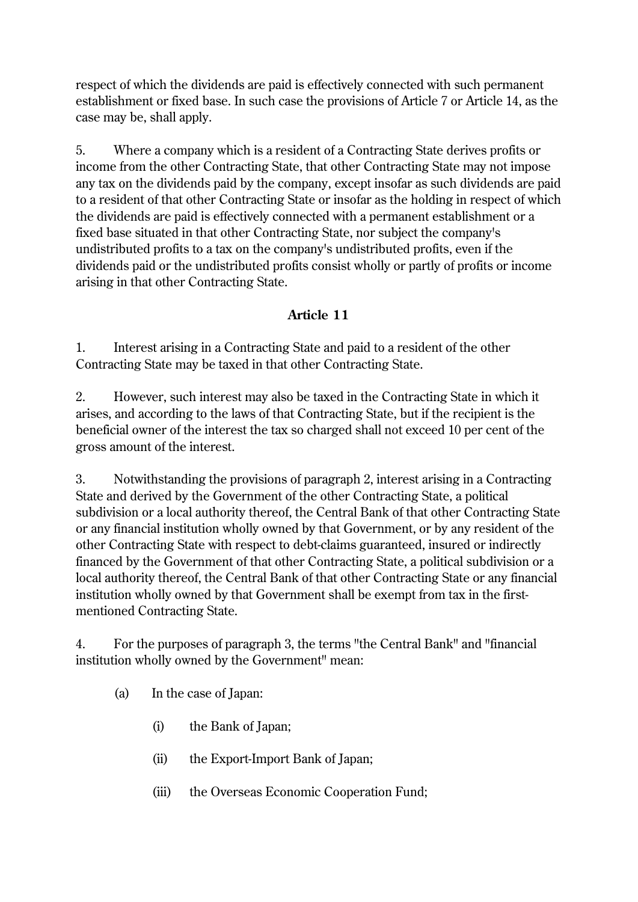respect of which the dividends are paid is effectively connected with such permanent establishment or fixed base. In such case the provisions of Article 7 or Article 14, as the case may be, shall apply.

5. Where a company which is a resident of a Contracting State derives profits or income from the other Contracting State, that other Contracting State may not impose any tax on the dividends paid by the company, except insofar as such dividends are paid to a resident of that other Contracting State or insofar as the holding in respect of which the dividends are paid is effectively connected with a permanent establishment or a fixed base situated in that other Contracting State, nor subject the company's undistributed profits to a tax on the company's undistributed profits, even if the dividends paid or the undistributed profits consist wholly or partly of profits or income arising in that other Contracting State.

## **Article 11**

1. Interest arising in a Contracting State and paid to a resident of the other Contracting State may be taxed in that other Contracting State.

2. However, such interest may also be taxed in the Contracting State in which it arises, and according to the laws of that Contracting State, but if the recipient is the beneficial owner of the interest the tax so charged shall not exceed 10 per cent of the gross amount of the interest.

3. Notwithstanding the provisions of paragraph 2, interest arising in a Contracting State and derived by the Government of the other Contracting State, a political subdivision or a local authority thereof, the Central Bank of that other Contracting State or any financial institution wholly owned by that Government, or by any resident of the other Contracting State with respect to debt-claims guaranteed, insured or indirectly financed by the Government of that other Contracting State, a political subdivision or a local authority thereof, the Central Bank of that other Contracting State or any financial institution wholly owned by that Government shall be exempt from tax in the firstmentioned Contracting State.

4. For the purposes of paragraph 3, the terms "the Central Bank" and "financial institution wholly owned by the Government" mean:

- (a) In the case of Japan:
	- (i) the Bank of Japan;
	- (ii) the Export-Import Bank of Japan;
	- (iii) the Overseas Economic Cooperation Fund;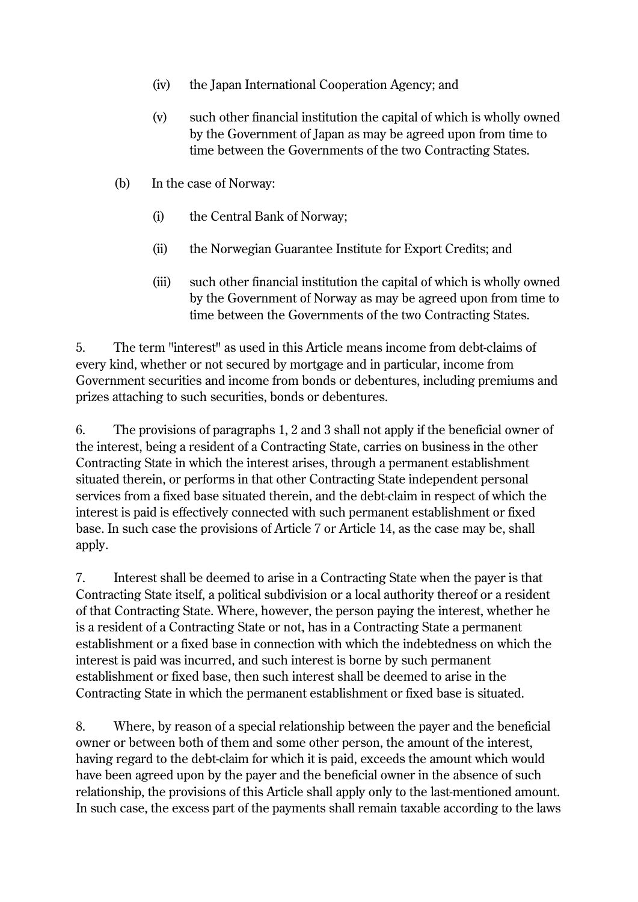- (iv) the Japan International Cooperation Agency; and
- (v) such other financial institution the capital of which is wholly owned by the Government of Japan as may be agreed upon from time to time between the Governments of the two Contracting States.
- (b) In the case of Norway:
	- (i) the Central Bank of Norway;
	- (ii) the Norwegian Guarantee Institute for Export Credits; and
	- (iii) such other financial institution the capital of which is wholly owned by the Government of Norway as may be agreed upon from time to time between the Governments of the two Contracting States.

5. The term "interest" as used in this Article means income from debt-claims of every kind, whether or not secured by mortgage and in particular, income from Government securities and income from bonds or debentures, including premiums and prizes attaching to such securities, bonds or debentures.

6. The provisions of paragraphs 1, 2 and 3 shall not apply if the beneficial owner of the interest, being a resident of a Contracting State, carries on business in the other Contracting State in which the interest arises, through a permanent establishment situated therein, or performs in that other Contracting State independent personal services from a fixed base situated therein, and the debt-claim in respect of which the interest is paid is effectively connected with such permanent establishment or fixed base. In such case the provisions of Article 7 or Article 14, as the case may be, shall apply.

7. Interest shall be deemed to arise in a Contracting State when the payer is that Contracting State itself, a political subdivision or a local authority thereof or a resident of that Contracting State. Where, however, the person paying the interest, whether he is a resident of a Contracting State or not, has in a Contracting State a permanent establishment or a fixed base in connection with which the indebtedness on which the interest is paid was incurred, and such interest is borne by such permanent establishment or fixed base, then such interest shall be deemed to arise in the Contracting State in which the permanent establishment or fixed base is situated.

8. Where, by reason of a special relationship between the payer and the beneficial owner or between both of them and some other person, the amount of the interest, having regard to the debt-claim for which it is paid, exceeds the amount which would have been agreed upon by the payer and the beneficial owner in the absence of such relationship, the provisions of this Article shall apply only to the last-mentioned amount. In such case, the excess part of the payments shall remain taxable according to the laws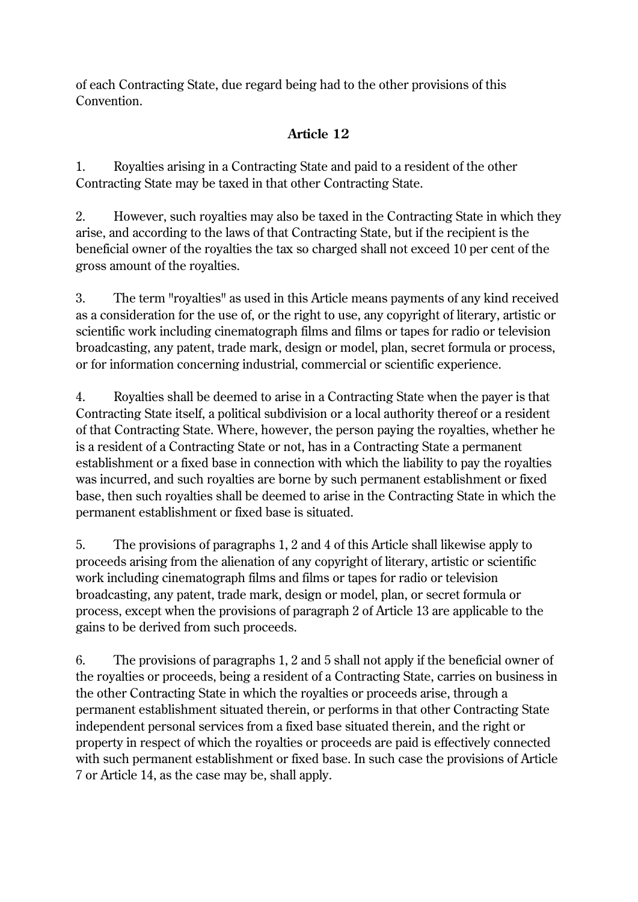of each Contracting State, due regard being had to the other provisions of this Convention.

# **Article 12**

1. Royalties arising in a Contracting State and paid to a resident of the other Contracting State may be taxed in that other Contracting State.

2. However, such royalties may also be taxed in the Contracting State in which they arise, and according to the laws of that Contracting State, but if the recipient is the beneficial owner of the royalties the tax so charged shall not exceed 10 per cent of the gross amount of the royalties.

3. The term "royalties" as used in this Article means payments of any kind received as a consideration for the use of, or the right to use, any copyright of literary, artistic or scientific work including cinematograph films and films or tapes for radio or television broadcasting, any patent, trade mark, design or model, plan, secret formula or process, or for information concerning industrial, commercial or scientific experience.

4. Royalties shall be deemed to arise in a Contracting State when the payer is that Contracting State itself, a political subdivision or a local authority thereof or a resident of that Contracting State. Where, however, the person paying the royalties, whether he is a resident of a Contracting State or not, has in a Contracting State a permanent establishment or a fixed base in connection with which the liability to pay the royalties was incurred, and such royalties are borne by such permanent establishment or fixed base, then such royalties shall be deemed to arise in the Contracting State in which the permanent establishment or fixed base is situated.

5. The provisions of paragraphs 1, 2 and 4 of this Article shall likewise apply to proceeds arising from the alienation of any copyright of literary, artistic or scientific work including cinematograph films and films or tapes for radio or television broadcasting, any patent, trade mark, design or model, plan, or secret formula or process, except when the provisions of paragraph 2 of Article 13 are applicable to the gains to be derived from such proceeds.

6. The provisions of paragraphs 1, 2 and 5 shall not apply if the beneficial owner of the royalties or proceeds, being a resident of a Contracting State, carries on business in the other Contracting State in which the royalties or proceeds arise, through a permanent establishment situated therein, or performs in that other Contracting State independent personal services from a fixed base situated therein, and the right or property in respect of which the royalties or proceeds are paid is effectively connected with such permanent establishment or fixed base. In such case the provisions of Article 7 or Article 14, as the case may be, shall apply.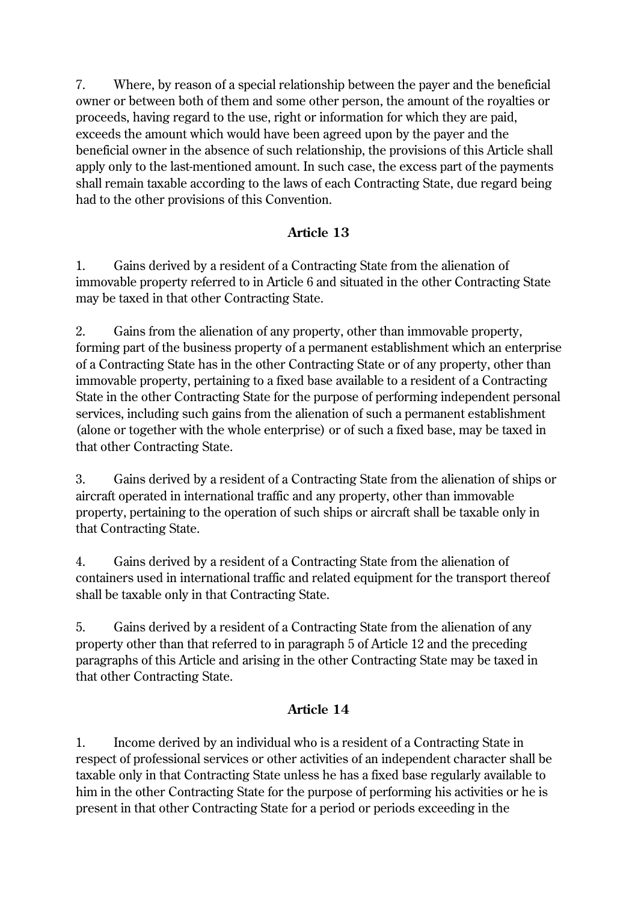7. Where, by reason of a special relationship between the payer and the beneficial owner or between both of them and some other person, the amount of the royalties or proceeds, having regard to the use, right or information for which they are paid, exceeds the amount which would have been agreed upon by the payer and the beneficial owner in the absence of such relationship, the provisions of this Article shall apply only to the last-mentioned amount. In such case, the excess part of the payments shall remain taxable according to the laws of each Contracting State, due regard being had to the other provisions of this Convention.

## **Article 13**

1. Gains derived by a resident of a Contracting State from the alienation of immovable property referred to in Article 6 and situated in the other Contracting State may be taxed in that other Contracting State.

2. Gains from the alienation of any property, other than immovable property, forming part of the business property of a permanent establishment which an enterprise of a Contracting State has in the other Contracting State or of any property, other than immovable property, pertaining to a fixed base available to a resident of a Contracting State in the other Contracting State for the purpose of performing independent personal services, including such gains from the alienation of such a permanent establishment (alone or together with the whole enterprise) or of such a fixed base, may be taxed in that other Contracting State.

3. Gains derived by a resident of a Contracting State from the alienation of ships or aircraft operated in international traffic and any property, other than immovable property, pertaining to the operation of such ships or aircraft shall be taxable only in that Contracting State.

4. Gains derived by a resident of a Contracting State from the alienation of containers used in international traffic and related equipment for the transport thereof shall be taxable only in that Contracting State.

5. Gains derived by a resident of a Contracting State from the alienation of any property other than that referred to in paragraph 5 of Article 12 and the preceding paragraphs of this Article and arising in the other Contracting State may be taxed in that other Contracting State.

## **Article 14**

1. Income derived by an individual who is a resident of a Contracting State in respect of professional services or other activities of an independent character shall be taxable only in that Contracting State unless he has a fixed base regularly available to him in the other Contracting State for the purpose of performing his activities or he is present in that other Contracting State for a period or periods exceeding in the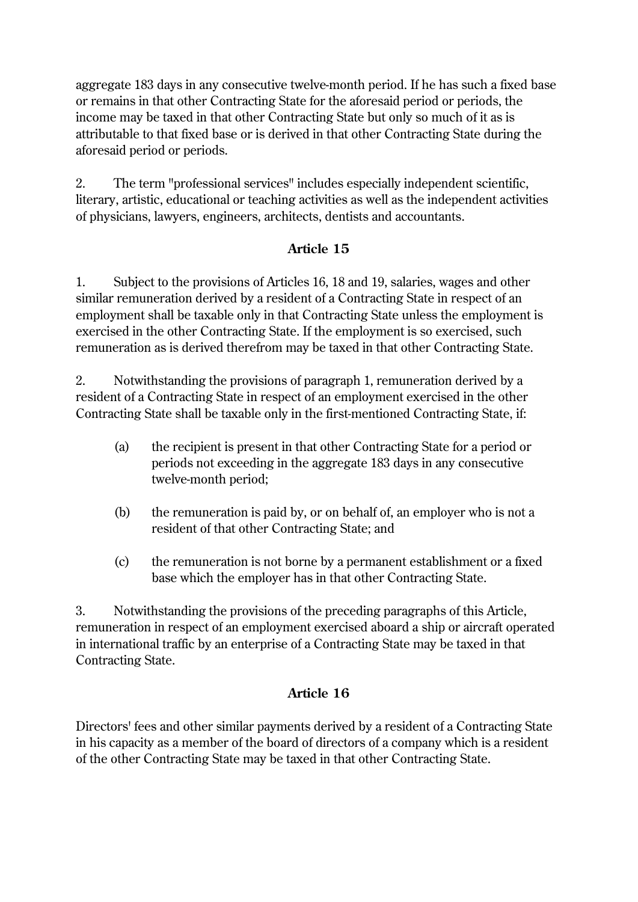aggregate 183 days in any consecutive twelve-month period. If he has such a fixed base or remains in that other Contracting State for the aforesaid period or periods, the income may be taxed in that other Contracting State but only so much of it as is attributable to that fixed base or is derived in that other Contracting State during the aforesaid period or periods.

2. The term "professional services" includes especially independent scientific, literary, artistic, educational or teaching activities as well as the independent activities of physicians, lawyers, engineers, architects, dentists and accountants.

### **Article 15**

1. Subject to the provisions of Articles 16, 18 and 19, salaries, wages and other similar remuneration derived by a resident of a Contracting State in respect of an employment shall be taxable only in that Contracting State unless the employment is exercised in the other Contracting State. If the employment is so exercised, such remuneration as is derived therefrom may be taxed in that other Contracting State.

2. Notwithstanding the provisions of paragraph 1, remuneration derived by a resident of a Contracting State in respect of an employment exercised in the other Contracting State shall be taxable only in the first-mentioned Contracting State, if:

- (a) the recipient is present in that other Contracting State for a period or periods not exceeding in the aggregate 183 days in any consecutive twelve-month period;
- (b) the remuneration is paid by, or on behalf of, an employer who is not a resident of that other Contracting State; and
- (c) the remuneration is not borne by a permanent establishment or a fixed base which the employer has in that other Contracting State.

3. Notwithstanding the provisions of the preceding paragraphs of this Article, remuneration in respect of an employment exercised aboard a ship or aircraft operated in international traffic by an enterprise of a Contracting State may be taxed in that Contracting State.

## **Article 16**

Directors' fees and other similar payments derived by a resident of a Contracting State in his capacity as a member of the board of directors of a company which is a resident of the other Contracting State may be taxed in that other Contracting State.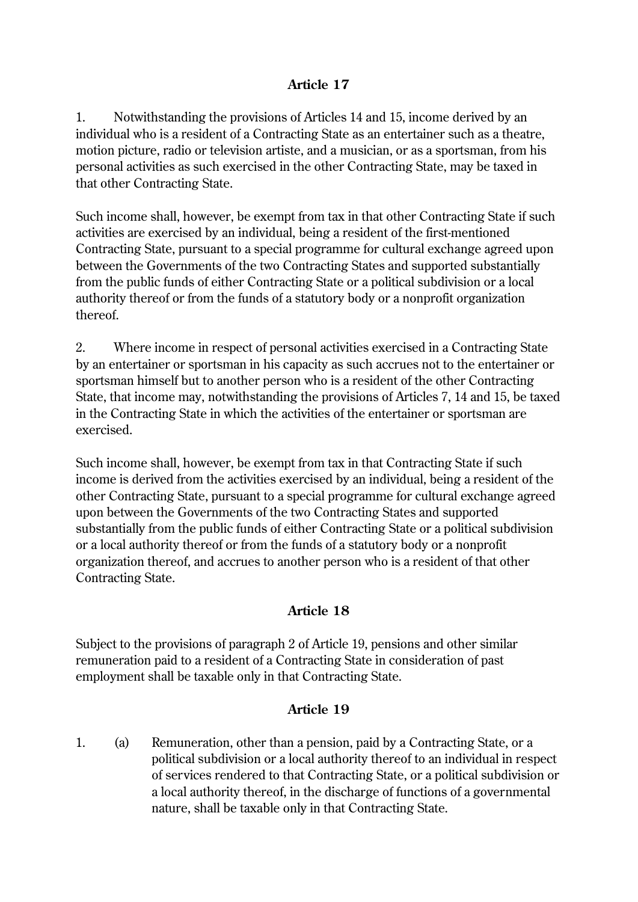### **Article 17**

1. Notwithstanding the provisions of Articles 14 and 15, income derived by an individual who is a resident of a Contracting State as an entertainer such as a theatre, motion picture, radio or television artiste, and a musician, or as a sportsman, from his personal activities as such exercised in the other Contracting State, may be taxed in that other Contracting State.

Such income shall, however, be exempt from tax in that other Contracting State if such activities are exercised by an individual, being a resident of the first-mentioned Contracting State, pursuant to a special programme for cultural exchange agreed upon between the Governments of the two Contracting States and supported substantially from the public funds of either Contracting State or a political subdivision or a local authority thereof or from the funds of a statutory body or a nonprofit organization thereof.

2. Where income in respect of personal activities exercised in a Contracting State by an entertainer or sportsman in his capacity as such accrues not to the entertainer or sportsman himself but to another person who is a resident of the other Contracting State, that income may, notwithstanding the provisions of Articles 7, 14 and 15, be taxed in the Contracting State in which the activities of the entertainer or sportsman are exercised.

Such income shall, however, be exempt from tax in that Contracting State if such income is derived from the activities exercised by an individual, being a resident of the other Contracting State, pursuant to a special programme for cultural exchange agreed upon between the Governments of the two Contracting States and supported substantially from the public funds of either Contracting State or a political subdivision or a local authority thereof or from the funds of a statutory body or a nonprofit organization thereof, and accrues to another person who is a resident of that other Contracting State.

### **Article 18**

Subject to the provisions of paragraph 2 of Article 19, pensions and other similar remuneration paid to a resident of a Contracting State in consideration of past employment shall be taxable only in that Contracting State.

### **Article 19**

1. (a) Remuneration, other than a pension, paid by a Contracting State, or a political subdivision or a local authority thereof to an individual in respect of services rendered to that Contracting State, or a political subdivision or a local authority thereof, in the discharge of functions of a governmental nature, shall be taxable only in that Contracting State.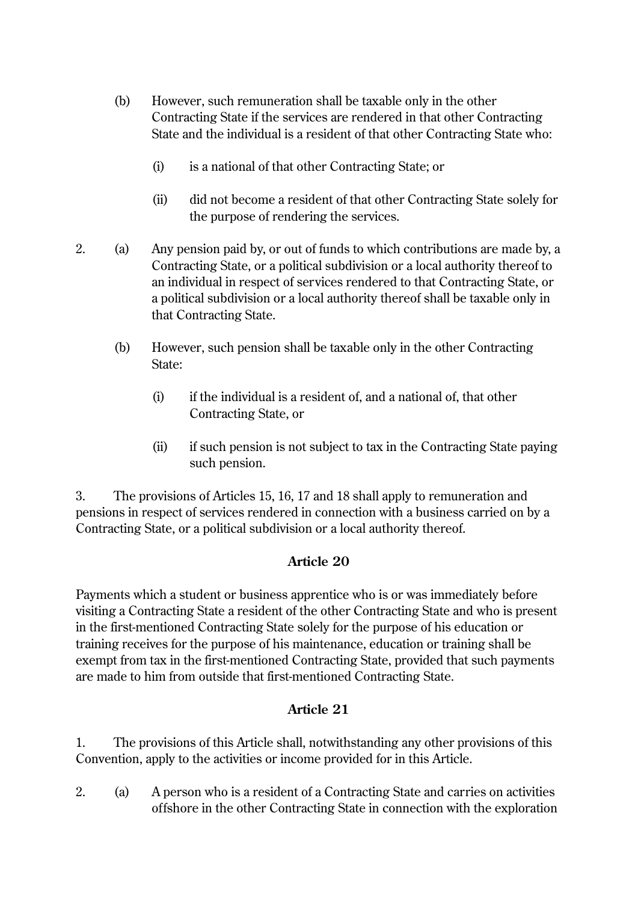- (b) However, such remuneration shall be taxable only in the other Contracting State if the services are rendered in that other Contracting State and the individual is a resident of that other Contracting State who:
	- (i) is a national of that other Contracting State; or
	- (ii) did not become a resident of that other Contracting State solely for the purpose of rendering the services.
- 2. (a) Any pension paid by, or out of funds to which contributions are made by, a Contracting State, or a political subdivision or a local authority thereof to an individual in respect of services rendered to that Contracting State, or a political subdivision or a local authority thereof shall be taxable only in that Contracting State.
	- (b) However, such pension shall be taxable only in the other Contracting State:
		- (i) if the individual is a resident of, and a national of, that other Contracting State, or
		- (ii) if such pension is not subject to tax in the Contracting State paying such pension.

3. The provisions of Articles 15, 16, 17 and 18 shall apply to remuneration and pensions in respect of services rendered in connection with a business carried on by a Contracting State, or a political subdivision or a local authority thereof.

### **Article 20**

Payments which a student or business apprentice who is or was immediately before visiting a Contracting State a resident of the other Contracting State and who is present in the first-mentioned Contracting State solely for the purpose of his education or training receives for the purpose of his maintenance, education or training shall be exempt from tax in the first-mentioned Contracting State, provided that such payments are made to him from outside that first-mentioned Contracting State.

### **Article 21**

1. The provisions of this Article shall, notwithstanding any other provisions of this Convention, apply to the activities or income provided for in this Article.

2. (a) A person who is a resident of a Contracting State and carries on activities offshore in the other Contracting State in connection with the exploration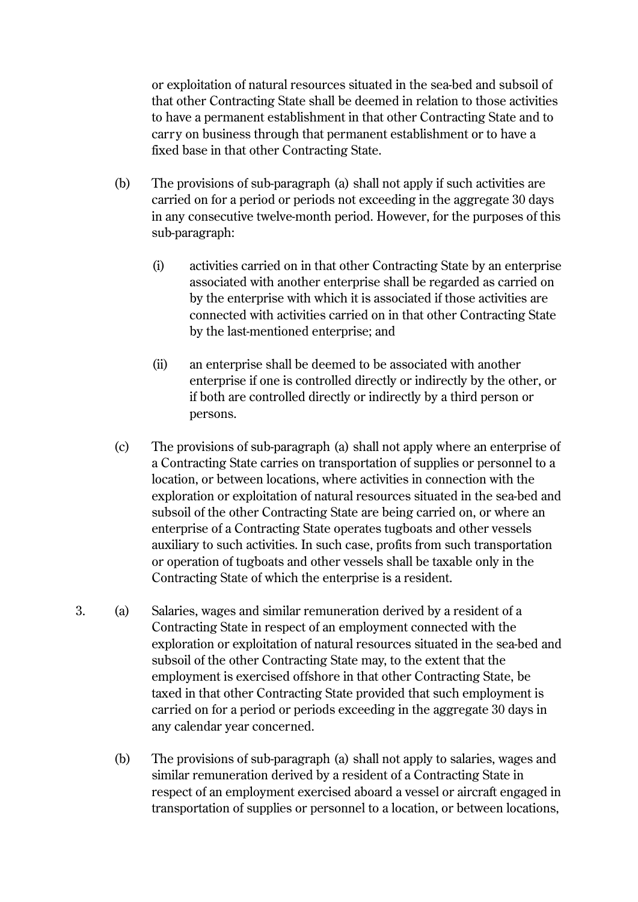or exploitation of natural resources situated in the sea-bed and subsoil of that other Contracting State shall be deemed in relation to those activities to have a permanent establishment in that other Contracting State and to carry on business through that permanent establishment or to have a fixed base in that other Contracting State.

- (b) The provisions of sub-paragraph (a) shall not apply if such activities are carried on for a period or periods not exceeding in the aggregate 30 days in any consecutive twelve-month period. However, for the purposes of this sub-paragraph:
	- (i) activities carried on in that other Contracting State by an enterprise associated with another enterprise shall be regarded as carried on by the enterprise with which it is associated if those activities are connected with activities carried on in that other Contracting State by the last-mentioned enterprise; and
	- (ii) an enterprise shall be deemed to be associated with another enterprise if one is controlled directly or indirectly by the other, or if both are controlled directly or indirectly by a third person or persons.
- (c) The provisions of sub-paragraph (a) shall not apply where an enterprise of a Contracting State carries on transportation of supplies or personnel to a location, or between locations, where activities in connection with the exploration or exploitation of natural resources situated in the sea-bed and subsoil of the other Contracting State are being carried on, or where an enterprise of a Contracting State operates tugboats and other vessels auxiliary to such activities. In such case, profits from such transportation or operation of tugboats and other vessels shall be taxable only in the Contracting State of which the enterprise is a resident.
- 3. (a) Salaries, wages and similar remuneration derived by a resident of a Contracting State in respect of an employment connected with the exploration or exploitation of natural resources situated in the sea-bed and subsoil of the other Contracting State may, to the extent that the employment is exercised offshore in that other Contracting State, be taxed in that other Contracting State provided that such employment is carried on for a period or periods exceeding in the aggregate 30 days in any calendar year concerned.
	- (b) The provisions of sub-paragraph (a) shall not apply to salaries, wages and similar remuneration derived by a resident of a Contracting State in respect of an employment exercised aboard a vessel or aircraft engaged in transportation of supplies or personnel to a location, or between locations,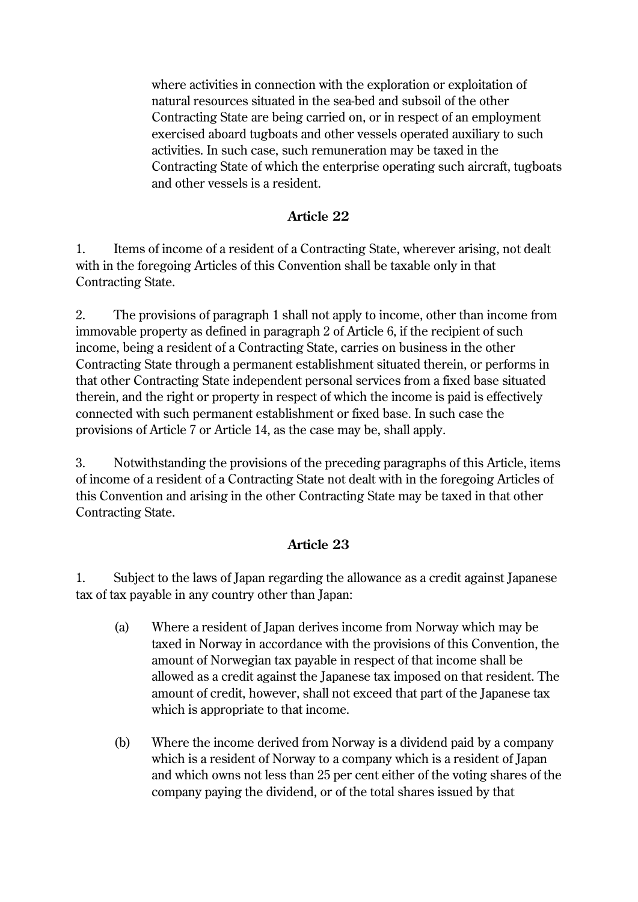where activities in connection with the exploration or exploitation of natural resources situated in the sea-bed and subsoil of the other Contracting State are being carried on, or in respect of an employment exercised aboard tugboats and other vessels operated auxiliary to such activities. In such case, such remuneration may be taxed in the Contracting State of which the enterprise operating such aircraft, tugboats and other vessels is a resident.

### **Article 22**

1. Items of income of a resident of a Contracting State, wherever arising, not dealt with in the foregoing Articles of this Convention shall be taxable only in that Contracting State.

2. The provisions of paragraph 1 shall not apply to income, other than income from immovable property as defined in paragraph 2 of Article 6, if the recipient of such income, being a resident of a Contracting State, carries on business in the other Contracting State through a permanent establishment situated therein, or performs in that other Contracting State independent personal services from a fixed base situated therein, and the right or property in respect of which the income is paid is effectively connected with such permanent establishment or fixed base. In such case the provisions of Article 7 or Article 14, as the case may be, shall apply.

3. Notwithstanding the provisions of the preceding paragraphs of this Article, items of income of a resident of a Contracting State not dealt with in the foregoing Articles of this Convention and arising in the other Contracting State may be taxed in that other Contracting State.

### **Article 23**

1. Subject to the laws of Japan regarding the allowance as a credit against Japanese tax of tax payable in any country other than Japan:

- (a) Where a resident of Japan derives income from Norway which may be taxed in Norway in accordance with the provisions of this Convention, the amount of Norwegian tax payable in respect of that income shall be allowed as a credit against the Japanese tax imposed on that resident. The amount of credit, however, shall not exceed that part of the Japanese tax which is appropriate to that income.
- (b) Where the income derived from Norway is a dividend paid by a company which is a resident of Norway to a company which is a resident of Japan and which owns not less than 25 per cent either of the voting shares of the company paying the dividend, or of the total shares issued by that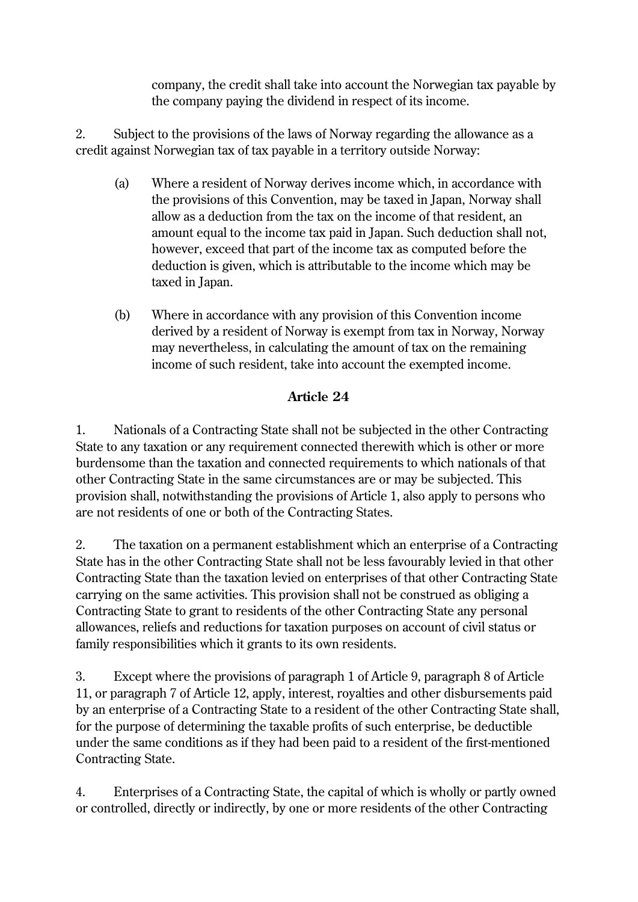company, the credit shall take into account the Norwegian tax payable by the company paying the dividend in respect of its income.

2. Subject to the provisions of the laws of Norway regarding the allowance as a credit against Norwegian tax of tax payable in a territory outside Norway:

- (a) Where a resident of Norway derives income which, in accordance with the provisions of this Convention, may be taxed in Japan, Norway shall allow as a deduction from the tax on the income of that resident, an amount equal to the income tax paid in Japan. Such deduction shall not, however, exceed that part of the income tax as computed before the deduction is given, which is attributable to the income which may be taxed in Japan.
- (b) Where in accordance with any provision of this Convention income derived by a resident of Norway is exempt from tax in Norway, Norway may nevertheless, in calculating the amount of tax on the remaining income of such resident, take into account the exempted income.

## **Article 24**

1. Nationals of a Contracting State shall not be subjected in the other Contracting State to any taxation or any requirement connected therewith which is other or more burdensome than the taxation and connected requirements to which nationals of that other Contracting State in the same circumstances are or may be subjected. This provision shall, notwithstanding the provisions of Article 1, also apply to persons who are not residents of one or both of the Contracting States.

2. The taxation on a permanent establishment which an enterprise of a Contracting State has in the other Contracting State shall not be less favourably levied in that other Contracting State than the taxation levied on enterprises of that other Contracting State carrying on the same activities. This provision shall not be construed as obliging a Contracting State to grant to residents of the other Contracting State any personal allowances, reliefs and reductions for taxation purposes on account of civil status or family responsibilities which it grants to its own residents.

3. Except where the provisions of paragraph 1 of Article 9, paragraph 8 of Article 11, or paragraph 7 of Article 12, apply, interest, royalties and other disbursements paid by an enterprise of a Contracting State to a resident of the other Contracting State shall, for the purpose of determining the taxable profits of such enterprise, be deductible under the same conditions as if they had been paid to a resident of the first-mentioned Contracting State.

4. Enterprises of a Contracting State, the capital of which is wholly or partly owned or controlled, directly or indirectly, by one or more residents of the other Contracting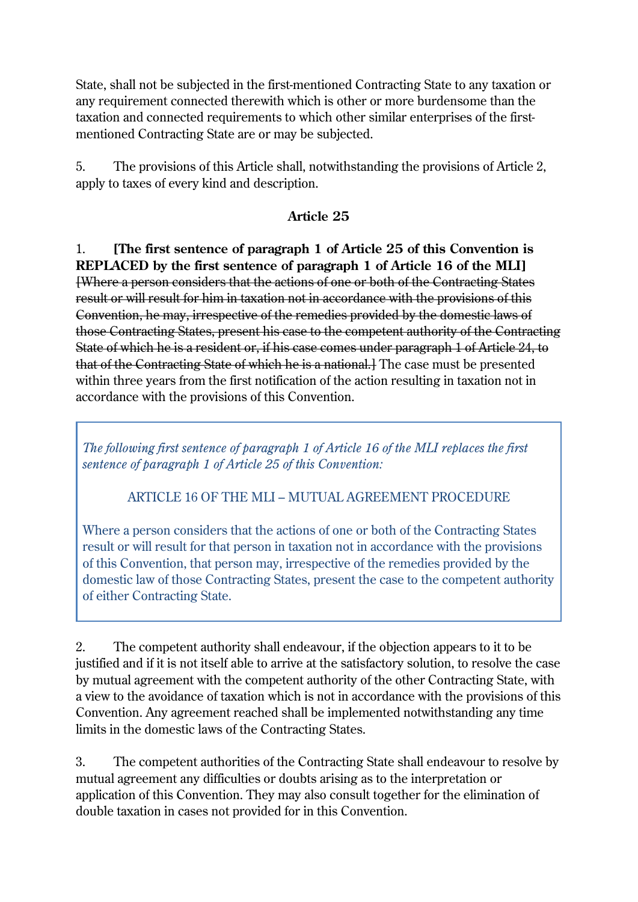State, shall not be subjected in the first-mentioned Contracting State to any taxation or any requirement connected therewith which is other or more burdensome than the taxation and connected requirements to which other similar enterprises of the firstmentioned Contracting State are or may be subjected.

5. The provisions of this Article shall, notwithstanding the provisions of Article 2, apply to taxes of every kind and description.

#### **Article 25**

1. **[The first sentence of paragraph 1 of Article 25 of this Convention is REPLACED by the first sentence of paragraph 1 of Article 16 of the MLI]**  [Where a person considers that the actions of one or both of the Contracting States result or will result for him in taxation not in accordance with the provisions of this Convention, he may, irrespective of the remedies provided by the domestic laws of those Contracting States, present his case to the competent authority of the Contracting State of which he is a resident or, if his case comes under paragraph 1 of Article 24, to that of the Contracting State of which he is a national.] The case must be presented within three years from the first notification of the action resulting in taxation not in accordance with the provisions of this Convention.

*The following first sentence of paragraph 1 of Article 16 of the MLI replaces the first sentence of paragraph 1 of Article 25 of this Convention:*

### ARTICLE 16 OF THE MLI – MUTUAL AGREEMENT PROCEDURE

Where a person considers that the actions of one or both of the Contracting States result or will result for that person in taxation not in accordance with the provisions of this Convention, that person may, irrespective of the remedies provided by the domestic law of those Contracting States, present the case to the competent authority of either Contracting State.

2. The competent authority shall endeavour, if the objection appears to it to be justified and if it is not itself able to arrive at the satisfactory solution, to resolve the case by mutual agreement with the competent authority of the other Contracting State, with a view to the avoidance of taxation which is not in accordance with the provisions of this Convention. Any agreement reached shall be implemented notwithstanding any time limits in the domestic laws of the Contracting States.

3. The competent authorities of the Contracting State shall endeavour to resolve by mutual agreement any difficulties or doubts arising as to the interpretation or application of this Convention. They may also consult together for the elimination of double taxation in cases not provided for in this Convention.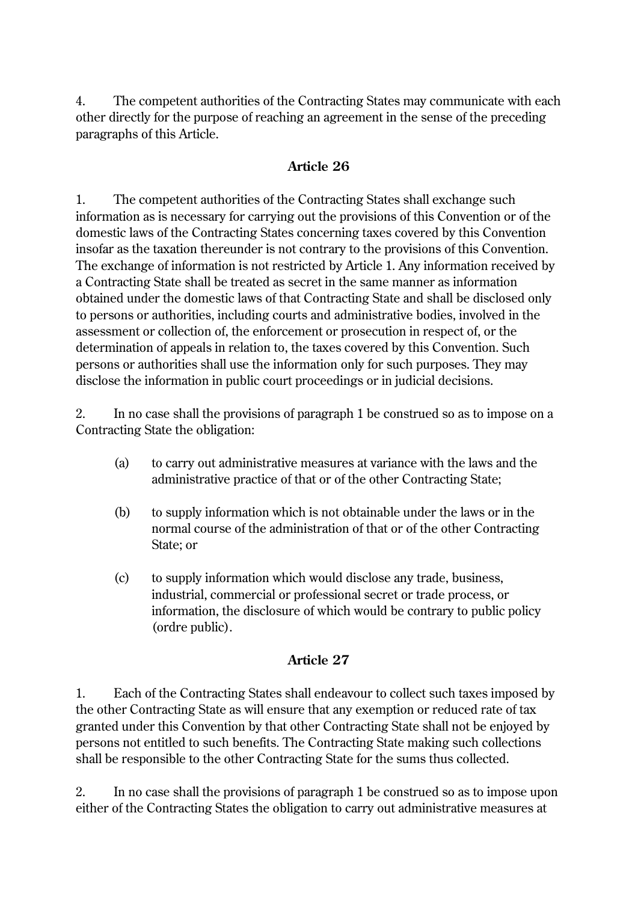4. The competent authorities of the Contracting States may communicate with each other directly for the purpose of reaching an agreement in the sense of the preceding paragraphs of this Article.

#### **Article 26**

1. The competent authorities of the Contracting States shall exchange such information as is necessary for carrying out the provisions of this Convention or of the domestic laws of the Contracting States concerning taxes covered by this Convention insofar as the taxation thereunder is not contrary to the provisions of this Convention. The exchange of information is not restricted by Article 1. Any information received by a Contracting State shall be treated as secret in the same manner as information obtained under the domestic laws of that Contracting State and shall be disclosed only to persons or authorities, including courts and administrative bodies, involved in the assessment or collection of, the enforcement or prosecution in respect of, or the determination of appeals in relation to, the taxes covered by this Convention. Such persons or authorities shall use the information only for such purposes. They may disclose the information in public court proceedings or in judicial decisions.

2. In no case shall the provisions of paragraph 1 be construed so as to impose on a Contracting State the obligation:

- (a) to carry out administrative measures at variance with the laws and the administrative practice of that or of the other Contracting State;
- (b) to supply information which is not obtainable under the laws or in the normal course of the administration of that or of the other Contracting State; or
- (c) to supply information which would disclose any trade, business, industrial, commercial or professional secret or trade process, or information, the disclosure of which would be contrary to public policy (ordre public).

### **Article 27**

1. Each of the Contracting States shall endeavour to collect such taxes imposed by the other Contracting State as will ensure that any exemption or reduced rate of tax granted under this Convention by that other Contracting State shall not be enjoyed by persons not entitled to such benefits. The Contracting State making such collections shall be responsible to the other Contracting State for the sums thus collected.

2. In no case shall the provisions of paragraph 1 be construed so as to impose upon either of the Contracting States the obligation to carry out administrative measures at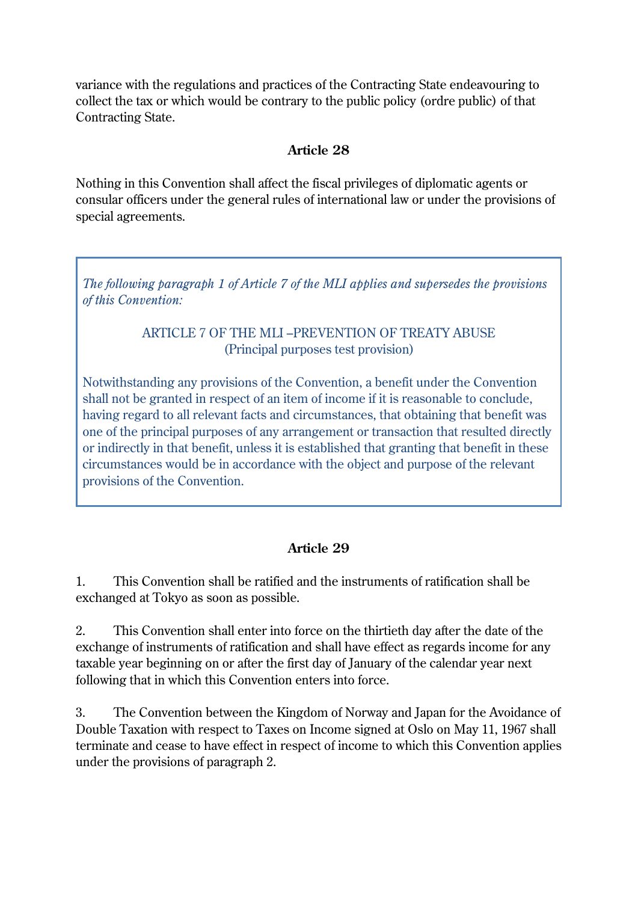variance with the regulations and practices of the Contracting State endeavouring to collect the tax or which would be contrary to the public policy (ordre public) of that Contracting State.

#### **Article 28**

Nothing in this Convention shall affect the fiscal privileges of diplomatic agents or consular officers under the general rules of international law or under the provisions of special agreements.

*The following paragraph 1 of Article 7 of the MLI applies and supersedes the provisions of this Convention:*

#### ARTICLE 7 OF THE MLI –PREVENTION OF TREATY ABUSE (Principal purposes test provision)

Notwithstanding any provisions of the Convention, a benefit under the Convention shall not be granted in respect of an item of income if it is reasonable to conclude, having regard to all relevant facts and circumstances, that obtaining that benefit was one of the principal purposes of any arrangement or transaction that resulted directly or indirectly in that benefit, unless it is established that granting that benefit in these circumstances would be in accordance with the object and purpose of the relevant provisions of the Convention.

## **Article 29**

1. This Convention shall be ratified and the instruments of ratification shall be exchanged at Tokyo as soon as possible.

2. This Convention shall enter into force on the thirtieth day after the date of the exchange of instruments of ratification and shall have effect as regards income for any taxable year beginning on or after the first day of January of the calendar year next following that in which this Convention enters into force.

3. The Convention between the Kingdom of Norway and Japan for the Avoidance of Double Taxation with respect to Taxes on Income signed at Oslo on May 11, 1967 shall terminate and cease to have effect in respect of income to which this Convention applies under the provisions of paragraph 2.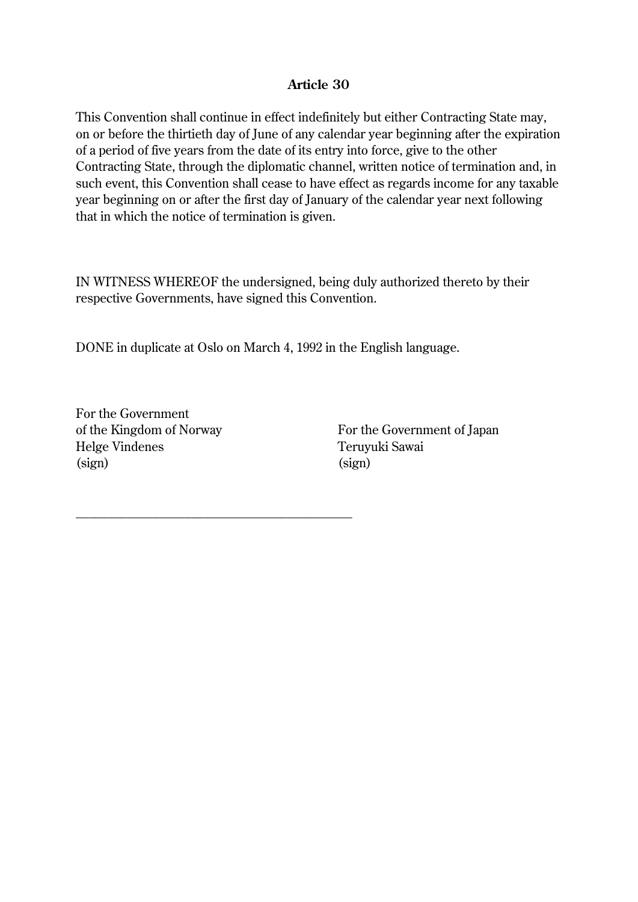#### **Article 30**

This Convention shall continue in effect indefinitely but either Contracting State may, on or before the thirtieth day of June of any calendar year beginning after the expiration of a period of five years from the date of its entry into force, give to the other Contracting State, through the diplomatic channel, written notice of termination and, in such event, this Convention shall cease to have effect as regards income for any taxable year beginning on or after the first day of January of the calendar year next following that in which the notice of termination is given.

IN WITNESS WHEREOF the undersigned, being duly authorized thereto by their respective Governments, have signed this Convention.

DONE in duplicate at Oslo on March 4, 1992 in the English language.

For the Government of the Kingdom of Norway Helge Vindenes (sign)

\_\_\_\_\_\_\_\_\_\_\_\_\_\_\_\_\_\_\_\_\_\_\_\_\_\_\_\_\_\_\_\_\_\_\_\_\_\_\_\_\_\_\_

For the Government of Japan Teruyuki Sawai (sign)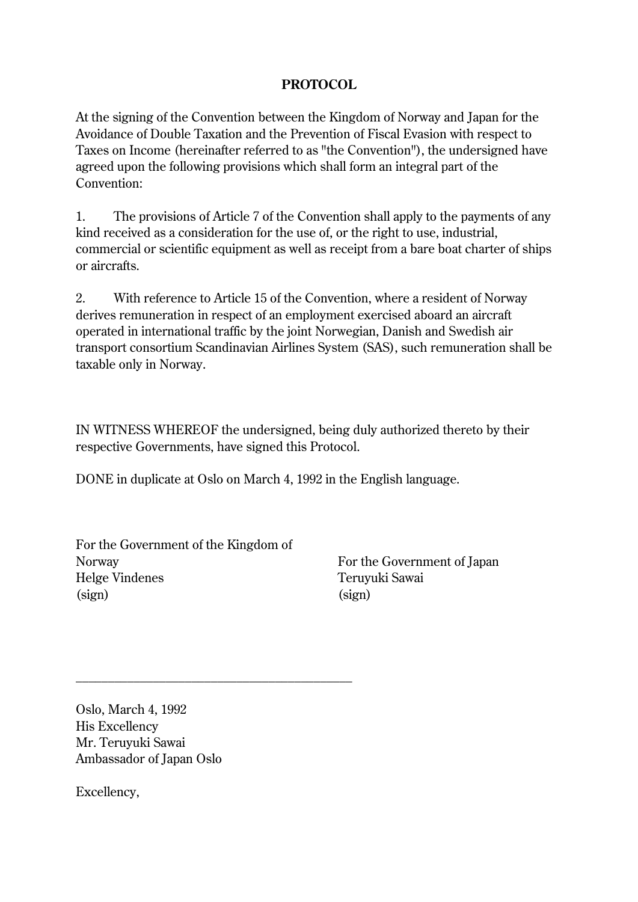#### **PROTOCOL**

At the signing of the Convention between the Kingdom of Norway and Japan for the Avoidance of Double Taxation and the Prevention of Fiscal Evasion with respect to Taxes on Income (hereinafter referred to as "the Convention"), the undersigned have agreed upon the following provisions which shall form an integral part of the Convention:

1. The provisions of Article 7 of the Convention shall apply to the payments of any kind received as a consideration for the use of, or the right to use, industrial, commercial or scientific equipment as well as receipt from a bare boat charter of ships or aircrafts.

2. With reference to Article 15 of the Convention, where a resident of Norway derives remuneration in respect of an employment exercised aboard an aircraft operated in international traffic by the joint Norwegian, Danish and Swedish air transport consortium Scandinavian Airlines System (SAS), such remuneration shall be taxable only in Norway.

IN WITNESS WHEREOF the undersigned, being duly authorized thereto by their respective Governments, have signed this Protocol.

DONE in duplicate at Oslo on March 4, 1992 in the English language.

For the Government of the Kingdom of Norway Helge Vindenes (sign)

\_\_\_\_\_\_\_\_\_\_\_\_\_\_\_\_\_\_\_\_\_\_\_\_\_\_\_\_\_\_\_\_\_\_\_\_\_\_\_\_\_\_\_

For the Government of Japan Teruyuki Sawai (sign)

Oslo, March 4, 1992 His Excellency Mr. Teruyuki Sawai Ambassador of Japan Oslo

Excellency,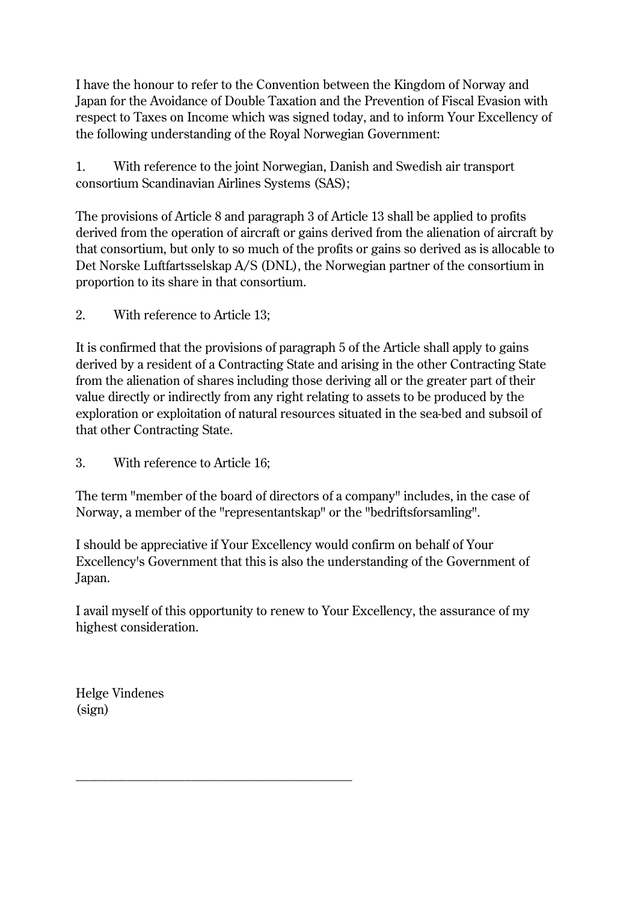I have the honour to refer to the Convention between the Kingdom of Norway and Japan for the Avoidance of Double Taxation and the Prevention of Fiscal Evasion with respect to Taxes on Income which was signed today, and to inform Your Excellency of the following understanding of the Royal Norwegian Government:

1. With reference to the joint Norwegian, Danish and Swedish air transport consortium Scandinavian Airlines Systems (SAS);

The provisions of Article 8 and paragraph 3 of Article 13 shall be applied to profits derived from the operation of aircraft or gains derived from the alienation of aircraft by that consortium, but only to so much of the profits or gains so derived as is allocable to Det Norske Luftfartsselskap A/S (DNL), the Norwegian partner of the consortium in proportion to its share in that consortium.

2. With reference to Article 13;

It is confirmed that the provisions of paragraph 5 of the Article shall apply to gains derived by a resident of a Contracting State and arising in the other Contracting State from the alienation of shares including those deriving all or the greater part of their value directly or indirectly from any right relating to assets to be produced by the exploration or exploitation of natural resources situated in the sea-bed and subsoil of that other Contracting State.

3. With reference to Article 16;

\_\_\_\_\_\_\_\_\_\_\_\_\_\_\_\_\_\_\_\_\_\_\_\_\_\_\_\_\_\_\_\_\_\_\_\_\_\_\_\_\_\_\_

The term "member of the board of directors of a company" includes, in the case of Norway, a member of the "representantskap" or the "bedriftsforsamling".

I should be appreciative if Your Excellency would confirm on behalf of Your Excellency's Government that this is also the understanding of the Government of Japan.

I avail myself of this opportunity to renew to Your Excellency, the assurance of my highest consideration.

Helge Vindenes (sign)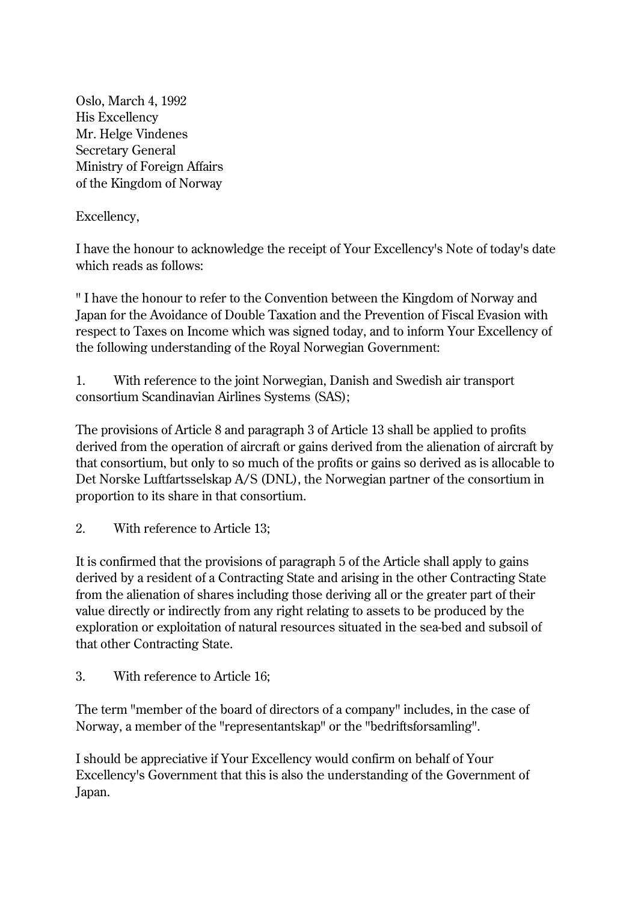Oslo, March 4, 1992 His Excellency Mr. Helge Vindenes Secretary General Ministry of Foreign Affairs of the Kingdom of Norway

Excellency,

I have the honour to acknowledge the receipt of Your Excellency's Note of today's date which reads as follows:

" I have the honour to refer to the Convention between the Kingdom of Norway and Japan for the Avoidance of Double Taxation and the Prevention of Fiscal Evasion with respect to Taxes on Income which was signed today, and to inform Your Excellency of the following understanding of the Royal Norwegian Government:

1. With reference to the joint Norwegian, Danish and Swedish air transport consortium Scandinavian Airlines Systems (SAS);

The provisions of Article 8 and paragraph 3 of Article 13 shall be applied to profits derived from the operation of aircraft or gains derived from the alienation of aircraft by that consortium, but only to so much of the profits or gains so derived as is allocable to Det Norske Luftfartsselskap A/S (DNL), the Norwegian partner of the consortium in proportion to its share in that consortium.

2. With reference to Article 13;

It is confirmed that the provisions of paragraph 5 of the Article shall apply to gains derived by a resident of a Contracting State and arising in the other Contracting State from the alienation of shares including those deriving all or the greater part of their value directly or indirectly from any right relating to assets to be produced by the exploration or exploitation of natural resources situated in the sea-bed and subsoil of that other Contracting State.

3. With reference to Article 16;

The term "member of the board of directors of a company" includes, in the case of Norway, a member of the "representantskap" or the "bedriftsforsamling".

I should be appreciative if Your Excellency would confirm on behalf of Your Excellency's Government that this is also the understanding of the Government of Japan.